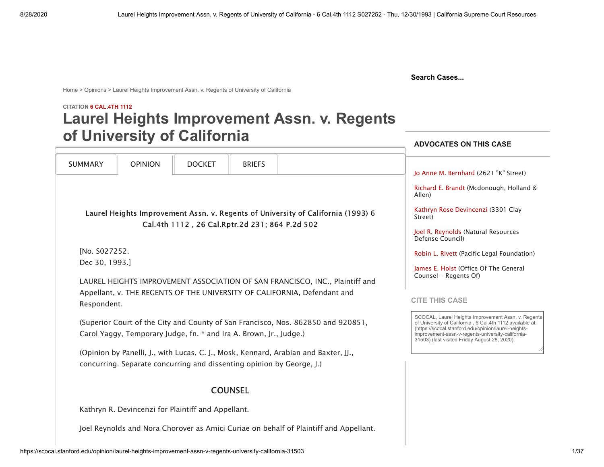**[Crown Law Library](https://law.stanford.edu/robert-crown-law-library/)**

**Search Cases...**

[Home](https://scocal.stanford.edu/) > [Opinions](https://scocal.stanford.edu/opinions) > Laurel Heights Improvement Assn. v. Regents of University of California

# **CITATION 6 CAL.4TH 1112 Laurel Heights Improvement Assn. v. Regents**

<span id="page-0-1"></span><span id="page-0-0"></span>

| of University of California                                                                                                                            |                |                                                                       |                |                                                                                       | <b>ADVOCATES ON THIS CASE</b>                                                                                                                                                                                                                                                  |
|--------------------------------------------------------------------------------------------------------------------------------------------------------|----------------|-----------------------------------------------------------------------|----------------|---------------------------------------------------------------------------------------|--------------------------------------------------------------------------------------------------------------------------------------------------------------------------------------------------------------------------------------------------------------------------------|
|                                                                                                                                                        |                |                                                                       |                |                                                                                       |                                                                                                                                                                                                                                                                                |
| <b>SUMMARY</b>                                                                                                                                         | <b>OPINION</b> | <b>DOCKET</b>                                                         | <b>BRIEFS</b>  |                                                                                       | Jo Anne M. Bernhard (2621 "K" Street)                                                                                                                                                                                                                                          |
| Laurel Heights Improvement Assn. v. Regents of University of California (1993) 6<br>Cal.4th 1112, 26 Cal.Rptr.2d 231; 864 P.2d 502                     |                |                                                                       |                |                                                                                       | Richard E. Brandt (Mcdonough, Holland &<br>Allen)                                                                                                                                                                                                                              |
|                                                                                                                                                        |                |                                                                       |                |                                                                                       | Kathryn Rose Devincenzi (3301 Clay<br>Street)                                                                                                                                                                                                                                  |
|                                                                                                                                                        |                |                                                                       |                |                                                                                       | Joel R. Reynolds (Natural Resources<br>Defense Council)                                                                                                                                                                                                                        |
| [No. S027252.                                                                                                                                          |                |                                                                       |                |                                                                                       | Robin L. Rivett (Pacific Legal Foundation)                                                                                                                                                                                                                                     |
| Dec 30, 1993.]                                                                                                                                         |                |                                                                       |                |                                                                                       | James E. Holst (Office Of The General<br>Counsel - Regents Of)                                                                                                                                                                                                                 |
| LAUREL HEIGHTS IMPROVEMENT ASSOCIATION OF SAN FRANCISCO, INC., Plaintiff and                                                                           |                |                                                                       |                |                                                                                       |                                                                                                                                                                                                                                                                                |
|                                                                                                                                                        |                |                                                                       |                |                                                                                       |                                                                                                                                                                                                                                                                                |
| Appellant, v. THE REGENTS OF THE UNIVERSITY OF CALIFORNIA, Defendant and<br>Respondent.                                                                |                |                                                                       |                |                                                                                       | <b>CITE THIS CASE</b>                                                                                                                                                                                                                                                          |
| (Superior Court of the City and County of San Francisco, Nos. 862850 and 920851,<br>Carol Yaggy, Temporary Judge, fn. * and Ira A. Brown, Jr., Judge.) |                |                                                                       |                |                                                                                       | SCOCAL, Laurel Heights Improvement Assn. v. Regents<br>of University of California, 6 Cal.4th 1112 available at:<br>(https://scocal.stanford.edu/opinion/laurel-heights-<br>improvement-assn-v-regents-university-california-<br>31503) (last visited Friday August 28, 2020). |
|                                                                                                                                                        |                |                                                                       |                | (Opinion by Panelli, J., with Lucas, C. J., Mosk, Kennard, Arabian and Baxter, JJ.,   |                                                                                                                                                                                                                                                                                |
|                                                                                                                                                        |                | concurring. Separate concurring and dissenting opinion by George, J.) |                |                                                                                       |                                                                                                                                                                                                                                                                                |
|                                                                                                                                                        |                |                                                                       | <b>COUNSEL</b> |                                                                                       |                                                                                                                                                                                                                                                                                |
|                                                                                                                                                        |                | Kathryn R. Devincenzi for Plaintiff and Appellant.                    |                |                                                                                       |                                                                                                                                                                                                                                                                                |
|                                                                                                                                                        |                |                                                                       |                | Joel Reynolds and Nora Chorover as Amici Curiae on behalf of Plaintiff and Appellant. |                                                                                                                                                                                                                                                                                |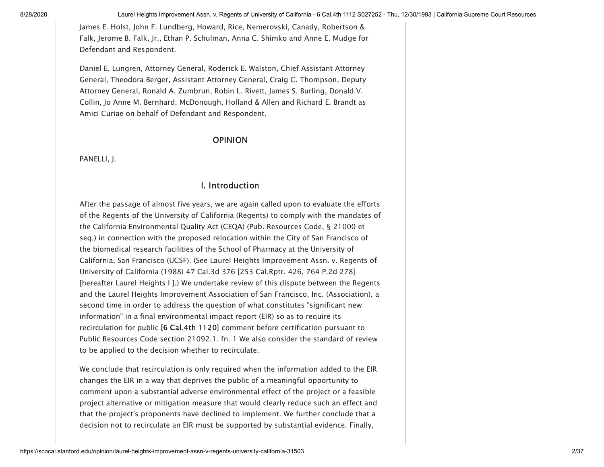James E. Holst, John F. Lundberg, Howard, Rice, Nemerovski, Canady, Robertson & Falk, Jerome B. Falk, Jr., Ethan P. Schulman, Anna C. Shimko and Anne E. Mudge for Defendant and Respondent.

Daniel E. Lungren, Attorney General, Roderick E. Walston, Chief Assistant Attorney General, Theodora Berger, Assistant Attorney General, Craig C. Thompson, Deputy Attorney General, Ronald A. Zumbrun, Robin L. Rivett, James S. Burling, Donald V. Collin, Jo Anne M. Bernhard, McDonough, Holland & Allen and Richard E. Brandt as Amici Curiae on behalf of Defendant and Respondent.

#### **OPINION**

PANELLI, J.

#### I. Introduction

After the passage of almost five years, we are again called upon to evaluate the efforts of the Regents of the University of California (Regents) to comply with the mandates of the California Environmental Quality Act (CEQA) (Pub. Resources Code, § 21000 et seq.) in connection with the proposed relocation within the City of San Francisco of the biomedical research facilities of the School of Pharmacy at the University of California, San Francisco (UCSF). (See Laurel Heights Improvement Assn. v. Regents of University of California (1988) [47 Cal.3d 376](https://scocal.stanford.edu/opinion/laurel-heights-improvement-assn-v-regents-university-california-30851) [253 Cal.Rptr. 426, 764 P.2d 278] [hereafter Laurel Heights I ].) We undertake review of this dispute between the Regents and the Laurel Heights Improvement Association of San Francisco, Inc. (Association), a second time in order to address the question of what constitutes "significant new information" in a final environmental impact report (EIR) so as to require its recirculation for public [6 Cal.4th 1120] comment before certification pursuant to Public Resources Code section 21092.1. [fn. 1](#page-28-1) We also consider the standard of review to be applied to the decision whether to recirculate.

<span id="page-1-0"></span>We conclude that recirculation is only required when the information added to the EIR changes the EIR in a way that deprives the public of a meaningful opportunity to comment upon a substantial adverse environmental effect of the project or a feasible project alternative or mitigation measure that would clearly reduce such an effect and that the project's proponents have declined to implement. We further conclude that a decision not to recirculate an EIR must be supported by substantial evidence. Finally,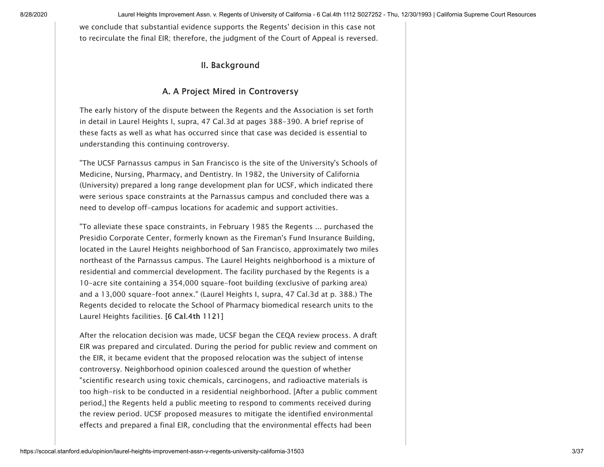we conclude that substantial evidence supports the Regents' decision in this case not to recirculate the final EIR; therefore, the judgment of the Court of Appeal is reversed.

# II. Background

# A. A Project Mired in Controversy

The early history of the dispute between the Regents and the Association is set forth in detail in Laurel Heights I, supra, 47 Cal.3d at pages 388-390. A brief reprise of these facts as well as what has occurred since that case was decided is essential to understanding this continuing controversy.

"The UCSF Parnassus campus in San Francisco is the site of the University's Schools of Medicine, Nursing, Pharmacy, and Dentistry. In 1982, the University of California (University) prepared a long range development plan for UCSF, which indicated there were serious space constraints at the Parnassus campus and concluded there was a need to develop off-campus locations for academic and support activities.

"To alleviate these space constraints, in February 1985 the Regents ... purchased the Presidio Corporate Center, formerly known as the Fireman's Fund Insurance Building, located in the Laurel Heights neighborhood of San Francisco, approximately two miles northeast of the Parnassus campus. The Laurel Heights neighborhood is a mixture of residential and commercial development. The facility purchased by the Regents is a 10-acre site containing a 354,000 square-foot building (exclusive of parking area) and a 13,000 square-foot annex." (Laurel Heights I, supra, 47 Cal.3d at p. 388.) The Regents decided to relocate the School of Pharmacy biomedical research units to the Laurel Heights facilities. [6 Cal.4th 1121]

After the relocation decision was made, UCSF began the CEQA review process. A draft EIR was prepared and circulated. During the period for public review and comment on the EIR, it became evident that the proposed relocation was the subject of intense controversy. Neighborhood opinion coalesced around the question of whether "scientific research using toxic chemicals, carcinogens, and radioactive materials is too high-risk to be conducted in a residential neighborhood. [After a public comment period,] the Regents held a public meeting to respond to comments received during the review period. UCSF proposed measures to mitigate the identified environmental effects and prepared a final EIR, concluding that the environmental effects had been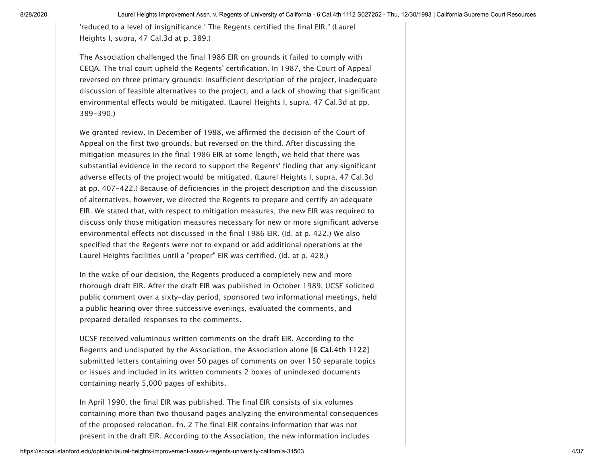'reduced to a level of insignificance.' The Regents certified the final EIR." (Laurel Heights I, supra, 47 Cal.3d at p. 389.)

The Association challenged the final 1986 EIR on grounds it failed to comply with CEQA. The trial court upheld the Regents' certification. In 1987, the Court of Appeal reversed on three primary grounds: insufficient description of the project, inadequate discussion of feasible alternatives to the project, and a lack of showing that significant environmental effects would be mitigated. (Laurel Heights I, supra, 47 Cal.3d at pp. 389-390.)

We granted review. In December of 1988, we affirmed the decision of the Court of Appeal on the first two grounds, but reversed on the third. After discussing the mitigation measures in the final 1986 EIR at some length, we held that there was substantial evidence in the record to support the Regents' finding that any significant adverse effects of the project would be mitigated. (Laurel Heights I, supra, 47 Cal.3d at pp. 407-422.) Because of deficiencies in the project description and the discussion of alternatives, however, we directed the Regents to prepare and certify an adequate EIR. We stated that, with respect to mitigation measures, the new EIR was required to discuss only those mitigation measures necessary for new or more significant adverse environmental effects not discussed in the final 1986 EIR. (Id. at p. 422.) We also specified that the Regents were not to expand or add additional operations at the Laurel Heights facilities until a "proper" EIR was certified. (Id. at p. 428.)

In the wake of our decision, the Regents produced a completely new and more thorough draft EIR. After the draft EIR was published in October 1989, UCSF solicited public comment over a sixty-day period, sponsored two informational meetings, held a public hearing over three successive evenings, evaluated the comments, and prepared detailed responses to the comments.

UCSF received voluminous written comments on the draft EIR. According to the Regents and undisputed by the Association, the Association alone [6 Cal.4th 1122] submitted letters containing over 50 pages of comments on over 150 separate topics or issues and included in its written comments 2 boxes of unindexed documents containing nearly 5,000 pages of exhibits.

<span id="page-3-0"></span>In April 1990, the final EIR was published. The final EIR consists of six volumes containing more than two thousand pages analyzing the environmental consequences of the proposed relocation. [fn. 2](#page-28-2) The final EIR contains information that was not present in the draft EIR. According to the Association, the new information includes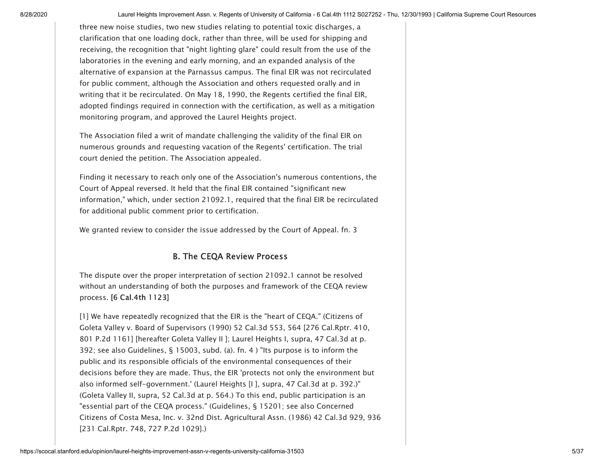three new noise studies, two new studies relating to potential toxic discharges, a clarification that one loading dock, rather than three, will be used for shipping and receiving, the recognition that "night lighting glare" could result from the use of the laboratories in the evening and early morning, and an expanded analysis of the alternative of expansion at the Parnassus campus. The final EIR was not recirculated for public comment, although the Association and others requested orally and in writing that it be recirculated. On May 18, 1990, the Regents certified the final EIR, adopted findings required in connection with the certification, as well as a mitigation monitoring program, and approved the Laurel Heights project.

The Association filed a writ of mandate challenging the validity of the final EIR on numerous grounds and requesting vacation of the Regents' certification. The trial court denied the petition. The Association appealed.

Finding it necessary to reach only one of the Association's numerous contentions, the Court of Appeal reversed. It held that the final EIR contained "significant new information," which, under section 21092.1, required that the final EIR be recirculated for additional public comment prior to certification.

We granted review to consider the issue addressed by the Court of Appeal. [fn. 3](#page-28-3)

#### <span id="page-4-1"></span><span id="page-4-0"></span>B. The CEQA Review Process

The dispute over the proper interpretation of section 21092.1 cannot be resolved without an understanding of both the purposes and framework of the CEQA review process. [6 Cal.4th 1123]

[1] We have repeatedly recognized that the EIR is the "heart of CEQA." (Citizens of Goleta Valley v. Board of Supervisors (1990) 52 Cal.3d 553, 564 [276 Cal.Rptr. 410, 801 P.2d 1161] [hereafter Goleta Valley II ]; Laurel Heights I, supra, 47 Cal.3d at p. 392; see also Guidelines, § 15003, subd. (a). [fn. 4](#page-28-4) ) "Its purpose is to inform the public and its responsible officials of the environmental consequences of their decisions before they are made. Thus, the EIR 'protects not only the environment but also informed self-government.' (Laurel Heights [I ], supra, 47 Cal.3d at p. 392.)" (Goleta Valley II, supra, 52 Cal.3d at p. 564.) To this end, public participation is an "essential part of the CEQA process." (Guidelines, § 15201; see also Concerned Citizens of Costa Mesa, Inc. v. 32nd Dist. Agricultural Assn. (1986) [42 Cal.3d 929,](https://scocal.stanford.edu/opinion/concerned-citizens-costa-mesa-inc-v-32nd-dist-agricultural-assn-28521) 936 [231 Cal.Rptr. 748, 727 P.2d 1029].)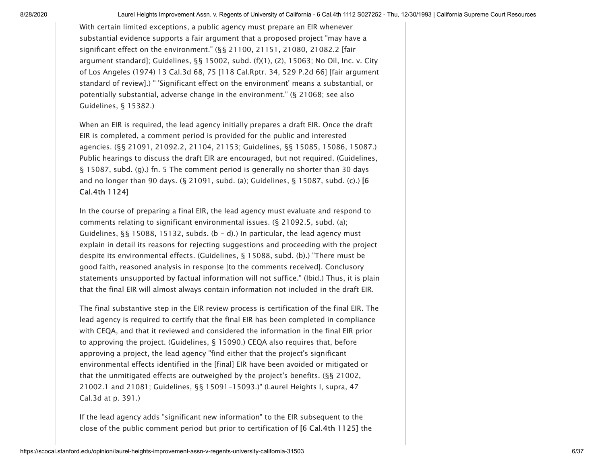With certain limited exceptions, a public agency must prepare an EIR whenever substantial evidence supports a fair argument that a proposed project "may have a significant effect on the environment." (§§ 21100, 21151, 21080, 21082.2 [fair argument standard]; Guidelines, §§ 15002, subd. (f)(1), (2), 15063; No Oil, Inc. v. City of Los Angeles (1974) 13 Cal.3d 68, 75 [118 Cal.Rptr. 34, 529 P.2d 66] [fair argument standard of review].) " 'Significant effect on the environment' means a substantial, or potentially substantial, adverse change in the environment." (§ 21068; see also Guidelines, § 15382.)

<span id="page-5-0"></span>When an EIR is required, the lead agency initially prepares a draft EIR. Once the draft EIR is completed, a comment period is provided for the public and interested agencies. (§§ 21091, 21092.2, 21104, 21153; Guidelines, §§ 15085, 15086, 15087.) Public hearings to discuss the draft EIR are encouraged, but not required. (Guidelines, § 15087, subd. (g).) [fn. 5](#page-28-5) The comment period is generally no shorter than 30 days and no longer than 90 days. (§ 21091, subd. (a); Guidelines, § 15087, subd. (c).) [6 Cal.4th 1124]

In the course of preparing a final EIR, the lead agency must evaluate and respond to comments relating to significant environmental issues. (§ 21092.5, subd. (a); Guidelines,  $\S$ § 15088, 15132, subds. (b – d).) In particular, the lead agency must explain in detail its reasons for rejecting suggestions and proceeding with the project despite its environmental effects. (Guidelines, § 15088, subd. (b).) "There must be good faith, reasoned analysis in response [to the comments received]. Conclusory statements unsupported by factual information will not suffice." (Ibid.) Thus, it is plain that the final EIR will almost always contain information not included in the draft EIR.

The final substantive step in the EIR review process is certification of the final EIR. The lead agency is required to certify that the final EIR has been completed in compliance with CEQA, and that it reviewed and considered the information in the final EIR prior to approving the project. (Guidelines, § 15090.) CEQA also requires that, before approving a project, the lead agency "find either that the project's significant environmental effects identified in the [final] EIR have been avoided or mitigated or that the unmitigated effects are outweighed by the project's benefits. (§§ 21002, 21002.1 and 21081; Guidelines, §§ 15091-15093.)" (Laurel Heights I, supra, 47 Cal.3d at p. 391.)

If the lead agency adds "significant new information" to the EIR subsequent to the close of the public comment period but prior to certification of [6 Cal.4th 1125] the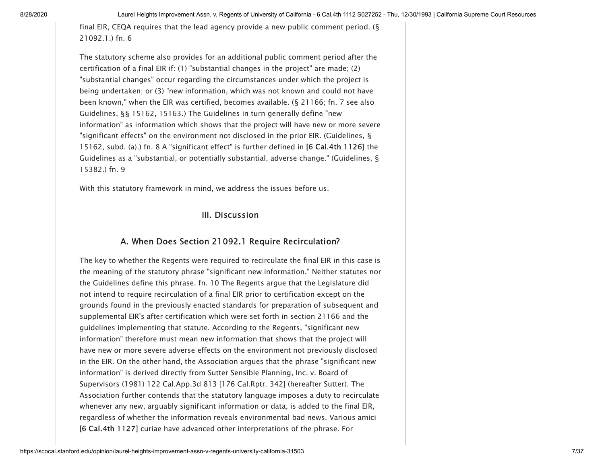<span id="page-6-0"></span>final EIR, CEQA requires that the lead agency provide a new public comment period. ( $\S$ 21092.1.) [fn. 6](#page-29-0)

The statutory scheme also provides for an additional public comment period after the certification of a final EIR if: (1) "substantial changes in the project" are made; (2) "substantial changes" occur regarding the circumstances under which the project is being undertaken; or (3) "new information, which was not known and could not have been known," when the EIR was certified, becomes available. (§ 21166; [fn. 7](#page-29-1) see also Guidelines, §§ 15162, 15163.) The Guidelines in turn generally define "new information" as information which shows that the project will have new or more severe "significant effects" on the environment not disclosed in the prior EIR. (Guidelines, § 15162, subd. (a).) [fn. 8](#page-30-0) A "significant effect" is further defined in [6 Cal.4th 1126] the Guidelines as a "substantial, or potentially substantial, adverse change." (Guidelines, § 15382.) [fn. 9](#page-31-0)

<span id="page-6-3"></span><span id="page-6-2"></span>With this statutory framework in mind, we address the issues before us.

#### <span id="page-6-4"></span><span id="page-6-1"></span>III. Discussion

#### A. When Does Section 21092.1 Require Recirculation?

The key to whether the Regents were required to recirculate the final EIR in this case is the meaning of the statutory phrase "significant new information." Neither statutes nor the Guidelines define this phrase. [fn. 10](#page-31-1) The Regents argue that the Legislature did not intend to require recirculation of a final EIR prior to certification except on the grounds found in the previously enacted standards for preparation of subsequent and supplemental EIR's after certification which were set forth in section 21166 and the guidelines implementing that statute. According to the Regents, "significant new information" therefore must mean new information that shows that the project will have new or more severe adverse effects on the environment not previously disclosed in the EIR. On the other hand, the Association argues that the phrase "significant new information" is derived directly from Sutter Sensible Planning, Inc. v. Board of Supervisors (1981) 122 Cal.App.3d 813 [176 Cal.Rptr. 342] (hereafter Sutter). The Association further contends that the statutory language imposes a duty to recirculate whenever any new, arguably significant information or data, is added to the final EIR, regardless of whether the information reveals environmental bad news. Various amici [6 Cal.4th 1127] curiae have advanced other interpretations of the phrase. For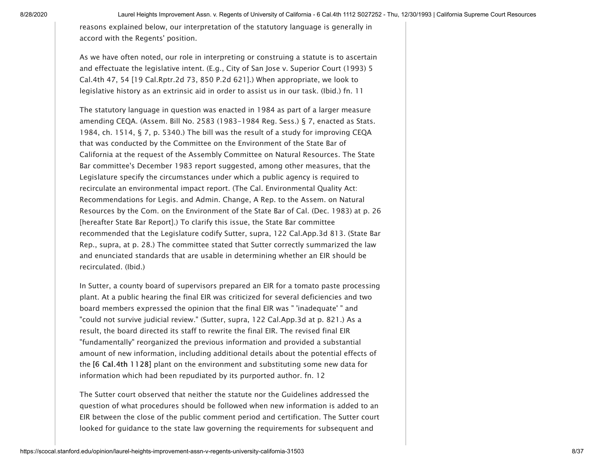reasons explained below, our interpretation of the statutory language is generally in accord with the Regents' position.

As we have often noted, our role in interpreting or construing a statute is to ascertain [and effectuate the legislative intent. \(E.g., City of San Jose v. Superior Court \(1993\) 5](https://scocal.stanford.edu/opinion/city-san-jose-v-superior-court-michael-b-31512) Cal.4th 47, 54 [19 Cal.Rptr.2d 73, 850 P.2d 621].) When appropriate, we look to legislative history as an extrinsic aid in order to assist us in our task. (Ibid.) [fn. 11](#page-31-2)

<span id="page-7-0"></span>The statutory language in question was enacted in 1984 as part of a larger measure amending CEQA. (Assem. Bill No. 2583 (1983-1984 Reg. Sess.) § 7, enacted as Stats. 1984, ch. 1514, § 7, p. 5340.) The bill was the result of a study for improving CEQA that was conducted by the Committee on the Environment of the State Bar of California at the request of the Assembly Committee on Natural Resources. The State Bar committee's December 1983 report suggested, among other measures, that the Legislature specify the circumstances under which a public agency is required to recirculate an environmental impact report. (The Cal. Environmental Quality Act: Recommendations for Legis. and Admin. Change, A Rep. to the Assem. on Natural Resources by the Com. on the Environment of the State Bar of Cal. (Dec. 1983) at p. 26 [hereafter State Bar Report].) To clarify this issue, the State Bar committee recommended that the Legislature codify Sutter, supra, 122 Cal.App.3d 813. (State Bar Rep., supra, at p. 28.) The committee stated that Sutter correctly summarized the law and enunciated standards that are usable in determining whether an EIR should be recirculated. (Ibid.)

In Sutter, a county board of supervisors prepared an EIR for a tomato paste processing plant. At a public hearing the final EIR was criticized for several deficiencies and two board members expressed the opinion that the final EIR was " 'inadequate' " and "could not survive judicial review." (Sutter, supra, 122 Cal.App.3d at p. 821.) As a result, the board directed its staff to rewrite the final EIR. The revised final EIR "fundamentally" reorganized the previous information and provided a substantial amount of new information, including additional details about the potential effects of the [6 Cal.4th 1128] plant on the environment and substituting some new data for information which had been repudiated by its purported author. [fn. 12](#page-31-3)

<span id="page-7-1"></span>The Sutter court observed that neither the statute nor the Guidelines addressed the question of what procedures should be followed when new information is added to an EIR between the close of the public comment period and certification. The Sutter court looked for guidance to the state law governing the requirements for subsequent and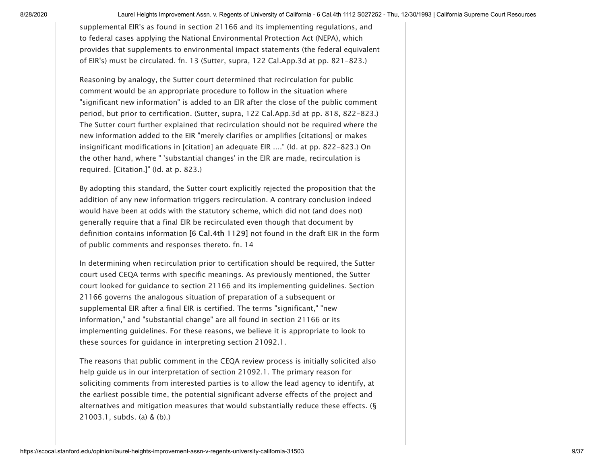supplemental EIR's as found in section 21166 and its implementing regulations, and to federal cases applying the National Environmental Protection Act (NEPA), which provides that supplements to environmental impact statements (the federal equivalent of EIR's) must be circulated. [fn. 13](#page-31-4) (Sutter, supra, 122 Cal.App.3d at pp. 821-823.)

<span id="page-8-0"></span>Reasoning by analogy, the Sutter court determined that recirculation for public comment would be an appropriate procedure to follow in the situation where "significant new information" is added to an EIR after the close of the public comment period, but prior to certification. (Sutter, supra, 122 Cal.App.3d at pp. 818, 822-823.) The Sutter court further explained that recirculation should not be required where the new information added to the EIR "merely clarifies or amplifies [citations] or makes insignificant modifications in [citation] an adequate EIR ...." (Id. at pp. 822-823.) On the other hand, where " 'substantial changes' in the EIR are made, recirculation is required. [Citation.]" (Id. at p. 823.)

By adopting this standard, the Sutter court explicitly rejected the proposition that the addition of any new information triggers recirculation. A contrary conclusion indeed would have been at odds with the statutory scheme, which did not (and does not) generally require that a final EIR be recirculated even though that document by definition contains information [6 Cal.4th 1129] not found in the draft EIR in the form of public comments and responses thereto. [fn. 14](#page-32-0)

<span id="page-8-1"></span>In determining when recirculation prior to certification should be required, the Sutter court used CEQA terms with specific meanings. As previously mentioned, the Sutter court looked for guidance to section 21166 and its implementing guidelines. Section 21166 governs the analogous situation of preparation of a subsequent or supplemental EIR after a final EIR is certified. The terms "significant," "new information," and "substantial change" are all found in section 21166 or its implementing guidelines. For these reasons, we believe it is appropriate to look to these sources for guidance in interpreting section 21092.1.

The reasons that public comment in the CEQA review process is initially solicited also help guide us in our interpretation of section 21092.1. The primary reason for soliciting comments from interested parties is to allow the lead agency to identify, at the earliest possible time, the potential significant adverse effects of the project and alternatives and mitigation measures that would substantially reduce these effects. (§ 21003.1, subds. (a) & (b).)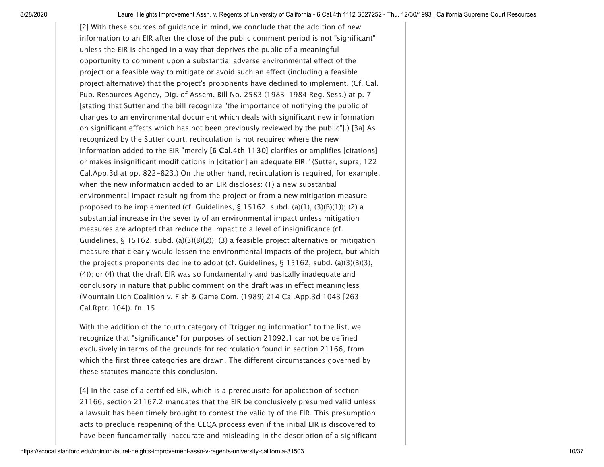[2] With these sources of guidance in mind, we conclude that the addition of new information to an EIR after the close of the public comment period is not "significant" unless the EIR is changed in a way that deprives the public of a meaningful opportunity to comment upon a substantial adverse environmental effect of the project or a feasible way to mitigate or avoid such an effect (including a feasible project alternative) that the project's proponents have declined to implement. (Cf. Cal. Pub. Resources Agency, Dig. of Assem. Bill No. 2583 (1983-1984 Reg. Sess.) at p. 7 [stating that Sutter and the bill recognize "the importance of notifying the public of changes to an environmental document which deals with significant new information on significant effects which has not been previously reviewed by the public"].) [3a] As recognized by the Sutter court, recirculation is not required where the new information added to the EIR "merely [6 Cal.4th 1130] clarifies or amplifies [citations] or makes insignificant modifications in [citation] an adequate EIR." (Sutter, supra, 122 Cal.App.3d at pp. 822-823.) On the other hand, recirculation is required, for example, when the new information added to an EIR discloses: (1) a new substantial environmental impact resulting from the project or from a new mitigation measure proposed to be implemented (cf. Guidelines,  $\S$  15162, subd. (a)(1), (3)(B)(1)); (2) a substantial increase in the severity of an environmental impact unless mitigation measures are adopted that reduce the impact to a level of insignificance (cf. Guidelines, § 15162, subd. (a)(3)(B)(2)); (3) a feasible project alternative or mitigation measure that clearly would lessen the environmental impacts of the project, but which the project's proponents decline to adopt (cf. Guidelines,  $\S$  15162, subd. (a)(3)(B)(3), (4)); or (4) that the draft EIR was so fundamentally and basically inadequate and conclusory in nature that public comment on the draft was in effect meaningless (Mountain Lion Coalition v. Fish & Game Com. (1989) 214 Cal.App.3d 1043 [263 Cal.Rptr. 104]). [fn. 15](#page-32-1)

<span id="page-9-0"></span>With the addition of the fourth category of "triggering information" to the list, we recognize that "significance" for purposes of section 21092.1 cannot be defined exclusively in terms of the grounds for recirculation found in section 21166, from which the first three categories are drawn. The different circumstances governed by these statutes mandate this conclusion.

[4] In the case of a certified EIR, which is a prerequisite for application of section 21166, section 21167.2 mandates that the EIR be conclusively presumed valid unless a lawsuit has been timely brought to contest the validity of the EIR. This presumption acts to preclude reopening of the CEQA process even if the initial EIR is discovered to have been fundamentally inaccurate and misleading in the description of a significant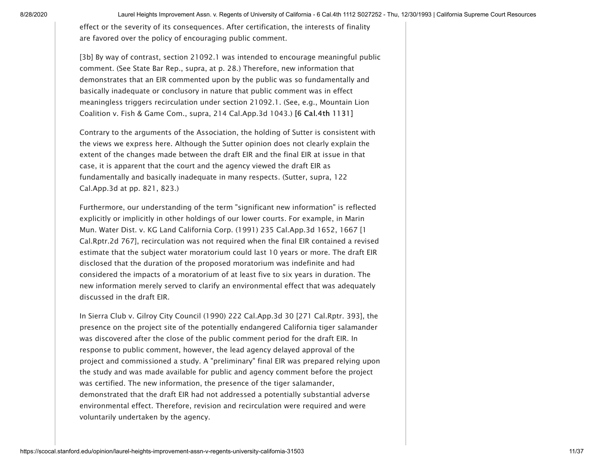effect or the severity of its consequences. After certification, the interests of finality are favored over the policy of encouraging public comment.

[3b] By way of contrast, section 21092.1 was intended to encourage meaningful public comment. (See State Bar Rep., supra, at p. 28.) Therefore, new information that demonstrates that an EIR commented upon by the public was so fundamentally and basically inadequate or conclusory in nature that public comment was in effect meaningless triggers recirculation under section 21092.1. (See, e.g., Mountain Lion Coalition v. Fish & Game Com., supra, 214 Cal.App.3d 1043.) [6 Cal.4th 1131]

Contrary to the arguments of the Association, the holding of Sutter is consistent with the views we express here. Although the Sutter opinion does not clearly explain the extent of the changes made between the draft EIR and the final EIR at issue in that case, it is apparent that the court and the agency viewed the draft EIR as fundamentally and basically inadequate in many respects. (Sutter, supra, 122 Cal.App.3d at pp. 821, 823.)

Furthermore, our understanding of the term "significant new information" is reflected explicitly or implicitly in other holdings of our lower courts. For example, in Marin Mun. Water Dist. v. KG Land California Corp. (1991) 235 Cal.App.3d 1652, 1667 [1 Cal.Rptr.2d 767], recirculation was not required when the final EIR contained a revised estimate that the subject water moratorium could last 10 years or more. The draft EIR disclosed that the duration of the proposed moratorium was indefinite and had considered the impacts of a moratorium of at least five to six years in duration. The new information merely served to clarify an environmental effect that was adequately discussed in the draft EIR.

In Sierra Club v. Gilroy City Council (1990) 222 Cal.App.3d 30 [271 Cal.Rptr. 393], the presence on the project site of the potentially endangered California tiger salamander was discovered after the close of the public comment period for the draft EIR. In response to public comment, however, the lead agency delayed approval of the project and commissioned a study. A "preliminary" final EIR was prepared relying upon the study and was made available for public and agency comment before the project was certified. The new information, the presence of the tiger salamander, demonstrated that the draft EIR had not addressed a potentially substantial adverse environmental effect. Therefore, revision and recirculation were required and were voluntarily undertaken by the agency.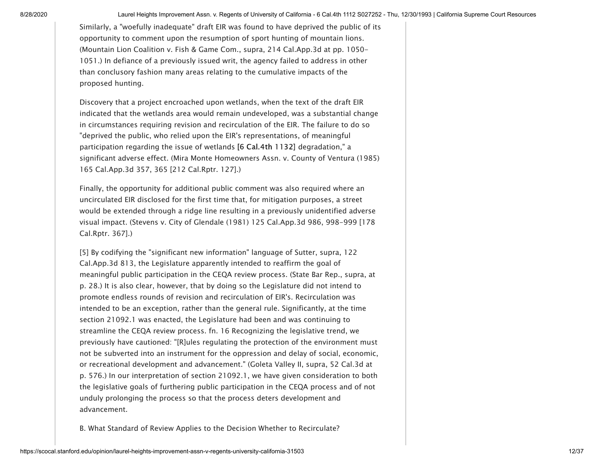Similarly, a "woefully inadequate" draft EIR was found to have deprived the public of its opportunity to comment upon the resumption of sport hunting of mountain lions. (Mountain Lion Coalition v. Fish & Game Com., supra, 214 Cal.App.3d at pp. 1050- 1051.) In defiance of a previously issued writ, the agency failed to address in other than conclusory fashion many areas relating to the cumulative impacts of the proposed hunting.

Discovery that a project encroached upon wetlands, when the text of the draft EIR indicated that the wetlands area would remain undeveloped, was a substantial change in circumstances requiring revision and recirculation of the EIR. The failure to do so "deprived the public, who relied upon the EIR's representations, of meaningful participation regarding the issue of wetlands [6 Cal.4th 1132] degradation," a significant adverse effect. (Mira Monte Homeowners Assn. v. County of Ventura (1985) 165 Cal.App.3d 357, 365 [212 Cal.Rptr. 127].)

Finally, the opportunity for additional public comment was also required where an uncirculated EIR disclosed for the first time that, for mitigation purposes, a street would be extended through a ridge line resulting in a previously unidentified adverse visual impact. (Stevens v. City of Glendale (1981) 125 Cal.App.3d 986, 998-999 [178 Cal.Rptr. 367].)

<span id="page-11-0"></span>[5] By codifying the "significant new information" language of Sutter, supra, 122 Cal.App.3d 813, the Legislature apparently intended to reaffirm the goal of meaningful public participation in the CEQA review process. (State Bar Rep., supra, at p. 28.) It is also clear, however, that by doing so the Legislature did not intend to promote endless rounds of revision and recirculation of EIR's. Recirculation was intended to be an exception, rather than the general rule. Significantly, at the time section 21092.1 was enacted, the Legislature had been and was continuing to streamline the CEQA review process. [fn. 16](#page-32-2) Recognizing the legislative trend, we previously have cautioned: "[R]ules regulating the protection of the environment must not be subverted into an instrument for the oppression and delay of social, economic, or recreational development and advancement." (Goleta Valley II, supra, 52 Cal.3d at p. 576.) In our interpretation of section 21092.1, we have given consideration to both the legislative goals of furthering public participation in the CEQA process and of not unduly prolonging the process so that the process deters development and advancement.

B. What Standard of Review Applies to the Decision Whether to Recirculate?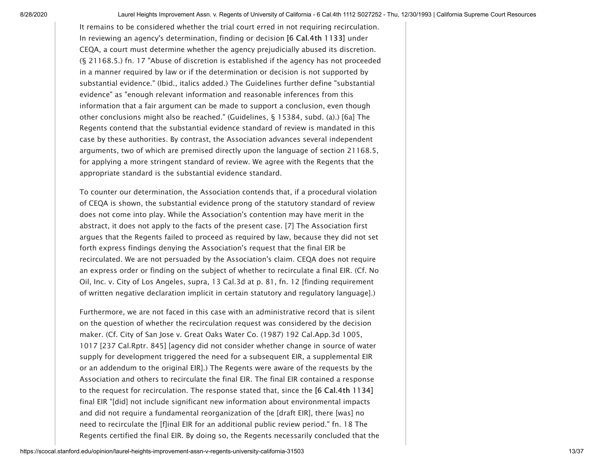<span id="page-12-0"></span>It remains to be considered whether the trial court erred in not requiring recirculation. In reviewing an agency's determination, finding or decision [6 Cal.4th 1133] under CEQA, a court must determine whether the agency prejudicially abused its discretion. (§ 21168.5.) [fn. 17](#page-32-3) "Abuse of discretion is established if the agency has not proceeded in a manner required by law or if the determination or decision is not supported by substantial evidence." (Ibid., italics added.) The Guidelines further define "substantial evidence" as "enough relevant information and reasonable inferences from this information that a fair argument can be made to support a conclusion, even though other conclusions might also be reached." (Guidelines, § 15384, subd. (a).) [6a] The Regents contend that the substantial evidence standard of review is mandated in this case by these authorities. By contrast, the Association advances several independent arguments, two of which are premised directly upon the language of section 21168.5, for applying a more stringent standard of review. We agree with the Regents that the appropriate standard is the substantial evidence standard.

To counter our determination, the Association contends that, if a procedural violation of CEQA is shown, the substantial evidence prong of the statutory standard of review does not come into play. While the Association's contention may have merit in the abstract, it does not apply to the facts of the present case. [7] The Association first argues that the Regents failed to proceed as required by law, because they did not set forth express findings denying the Association's request that the final EIR be recirculated. We are not persuaded by the Association's claim. CEQA does not require an express order or finding on the subject of whether to recirculate a final EIR. (Cf. No Oil, Inc. v. City of Los Angeles, supra, 13 Cal.3d at p. 81, fn. 12 [finding requirement of written negative declaration implicit in certain statutory and regulatory language].)

<span id="page-12-1"></span>Furthermore, we are not faced in this case with an administrative record that is silent on the question of whether the recirculation request was considered by the decision maker. (Cf. City of San Jose v. Great Oaks Water Co. (1987) 192 Cal.App.3d 1005, 1017 [237 Cal.Rptr. 845] [agency did not consider whether change in source of water supply for development triggered the need for a subsequent EIR, a supplemental EIR or an addendum to the original EIR].) The Regents were aware of the requests by the Association and others to recirculate the final EIR. The final EIR contained a response to the request for recirculation. The response stated that, since the [6 Cal.4th 1134] final EIR "[did] not include significant new information about environmental impacts and did not require a fundamental reorganization of the [draft EIR], there [was] no need to recirculate the [f]inal EIR for an additional public review period." [fn. 18](#page-33-0) The Regents certified the final EIR. By doing so, the Regents necessarily concluded that the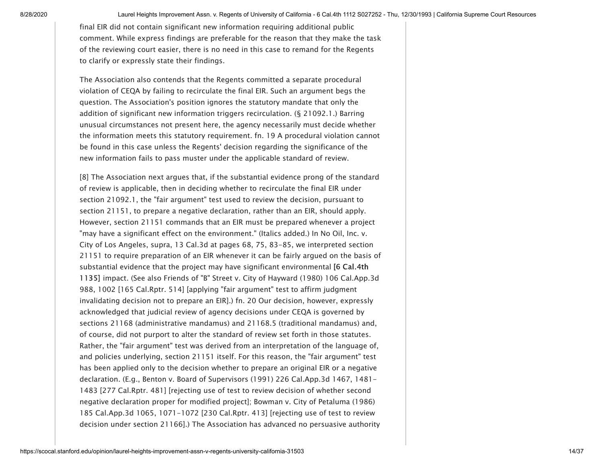final EIR did not contain significant new information requiring additional public comment. While express findings are preferable for the reason that they make the task of the reviewing court easier, there is no need in this case to remand for the Regents to clarify or expressly state their findings.

The Association also contends that the Regents committed a separate procedural violation of CEQA by failing to recirculate the final EIR. Such an argument begs the question. The Association's position ignores the statutory mandate that only the addition of significant new information triggers recirculation. (§ 21092.1.) Barring unusual circumstances not present here, the agency necessarily must decide whether the information meets this statutory requirement. [fn. 19](#page-33-1) A procedural violation cannot be found in this case unless the Regents' decision regarding the significance of the new information fails to pass muster under the applicable standard of review.

<span id="page-13-1"></span><span id="page-13-0"></span>[8] The Association next argues that, if the substantial evidence prong of the standard of review is applicable, then in deciding whether to recirculate the final EIR under section 21092.1, the "fair argument" test used to review the decision, pursuant to section 21151, to prepare a negative declaration, rather than an EIR, should apply. However, section 21151 commands that an EIR must be prepared whenever a project "may have a significant effect on the environment." (Italics added.) In No Oil, Inc. v. City of Los Angeles, supra, 13 Cal.3d at pages 68, 75, 83-85, we interpreted section 21151 to require preparation of an EIR whenever it can be fairly argued on the basis of substantial evidence that the project may have significant environmental [6 Cal.4th 1135] impact. (See also Friends of "B" Street v. City of Hayward (1980) 106 Cal.App.3d 988, 1002 [165 Cal.Rptr. 514] [applying "fair argument" test to affirm judgment invalidating decision not to prepare an EIR].) [fn. 20](#page-33-2) Our decision, however, expressly acknowledged that judicial review of agency decisions under CEQA is governed by sections 21168 (administrative mandamus) and 21168.5 (traditional mandamus) and, of course, did not purport to alter the standard of review set forth in those statutes. Rather, the "fair argument" test was derived from an interpretation of the language of, and policies underlying, section 21151 itself. For this reason, the "fair argument" test has been applied only to the decision whether to prepare an original EIR or a negative declaration. (E.g., Benton v. Board of Supervisors (1991) 226 Cal.App.3d 1467, 1481- 1483 [277 Cal.Rptr. 481] [rejecting use of test to review decision of whether second negative declaration proper for modified project]; Bowman v. City of Petaluma (1986) 185 Cal.App.3d 1065, 1071-1072 [230 Cal.Rptr. 413] [rejecting use of test to review decision under section 21166].) The Association has advanced no persuasive authority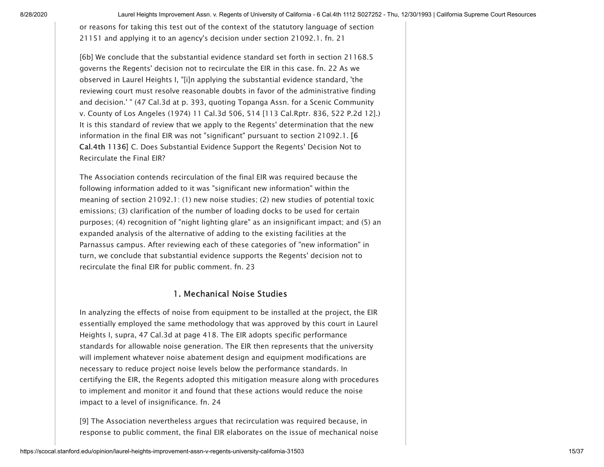<span id="page-14-0"></span>or reasons for taking this test out of the context of the statutory language of section 21151 and applying it to an agency's decision under section 21092.1. [fn. 21](#page-33-3)

<span id="page-14-1"></span>[6b] We conclude that the substantial evidence standard set forth in section 21168.5 governs the Regents' decision not to recirculate the EIR in this case. [fn. 22](#page-33-4) As we observed in Laurel Heights I, "[i]n applying the substantial evidence standard, 'the reviewing court must resolve reasonable doubts in favor of the administrative finding and decision.' " (47 Cal.3d at p. 393, quoting Topanga Assn. for a Scenic Community v. County of Los Angeles (1974) [11 Cal.3d 506,](https://scocal.stanford.edu/opinion/topanga-assn-scenic-community-v-county-los-angeles-27785) 514 [113 Cal.Rptr. 836, 522 P.2d 12].) It is this standard of review that we apply to the Regents' determination that the new information in the final EIR was not "significant" pursuant to section 21092.1. [6 Cal.4th 1136] C. Does Substantial Evidence Support the Regents' Decision Not to Recirculate the Final EIR?

The Association contends recirculation of the final EIR was required because the following information added to it was "significant new information" within the meaning of section 21092.1: (1) new noise studies; (2) new studies of potential toxic emissions; (3) clarification of the number of loading docks to be used for certain purposes; (4) recognition of "night lighting glare" as an insignificant impact; and (5) an expanded analysis of the alternative of adding to the existing facilities at the Parnassus campus. After reviewing each of these categories of "new information" in turn, we conclude that substantial evidence supports the Regents' decision not to recirculate the final EIR for public comment. [fn. 23](#page-34-0)

#### <span id="page-14-3"></span><span id="page-14-2"></span>1. Mechanical Noise Studies

In analyzing the effects of noise from equipment to be installed at the project, the EIR essentially employed the same methodology that was approved by this court in Laurel Heights I, supra, 47 Cal.3d at page 418. The EIR adopts specific performance standards for allowable noise generation. The EIR then represents that the university will implement whatever noise abatement design and equipment modifications are necessary to reduce project noise levels below the performance standards. In certifying the EIR, the Regents adopted this mitigation measure along with procedures to implement and monitor it and found that these actions would reduce the noise impact to a level of insignificance. [fn. 24](#page-34-1)

[9] The Association nevertheless argues that recirculation was required because, in response to public comment, the final EIR elaborates on the issue of mechanical noise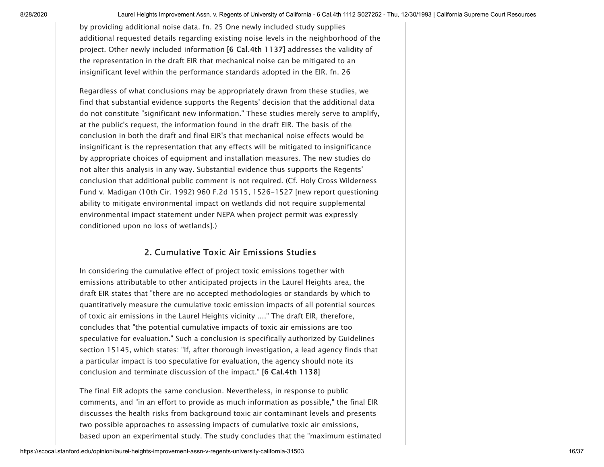<span id="page-15-0"></span>by providing additional noise data. [fn. 25](#page-34-2) One newly included study supplies additional requested details regarding existing noise levels in the neighborhood of the project. Other newly included information [6 Cal.4th 1137] addresses the validity of the representation in the draft EIR that mechanical noise can be mitigated to an insignificant level within the performance standards adopted in the EIR. [fn. 26](#page-34-3)

<span id="page-15-1"></span>Regardless of what conclusions may be appropriately drawn from these studies, we find that substantial evidence supports the Regents' decision that the additional data do not constitute "significant new information." These studies merely serve to amplify, at the public's request, the information found in the draft EIR. The basis of the conclusion in both the draft and final EIR's that mechanical noise effects would be insignificant is the representation that any effects will be mitigated to insignificance by appropriate choices of equipment and installation measures. The new studies do not alter this analysis in any way. Substantial evidence thus supports the Regents' conclusion that additional public comment is not required. (Cf. Holy Cross Wilderness Fund v. Madigan (10th Cir. 1992) [960 F.2d 1515,](https://cases.justia.com/us-court-of-appeals/F2/960/1515/) 1526-1527 [new report questioning ability to mitigate environmental impact on wetlands did not require supplemental environmental impact statement under NEPA when project permit was expressly conditioned upon no loss of wetlands].)

# 2. Cumulative Toxic Air Emissions Studies

In considering the cumulative effect of project toxic emissions together with emissions attributable to other anticipated projects in the Laurel Heights area, the draft EIR states that "there are no accepted methodologies or standards by which to quantitatively measure the cumulative toxic emission impacts of all potential sources of toxic air emissions in the Laurel Heights vicinity ...." The draft EIR, therefore, concludes that "the potential cumulative impacts of toxic air emissions are too speculative for evaluation." Such a conclusion is specifically authorized by Guidelines section 15145, which states: "If, after thorough investigation, a lead agency finds that a particular impact is too speculative for evaluation, the agency should note its conclusion and terminate discussion of the impact." [6 Cal.4th 1138]

The final EIR adopts the same conclusion. Nevertheless, in response to public comments, and "in an effort to provide as much information as possible," the final EIR discusses the health risks from background toxic air contaminant levels and presents two possible approaches to assessing impacts of cumulative toxic air emissions, based upon an experimental study. The study concludes that the "maximum estimated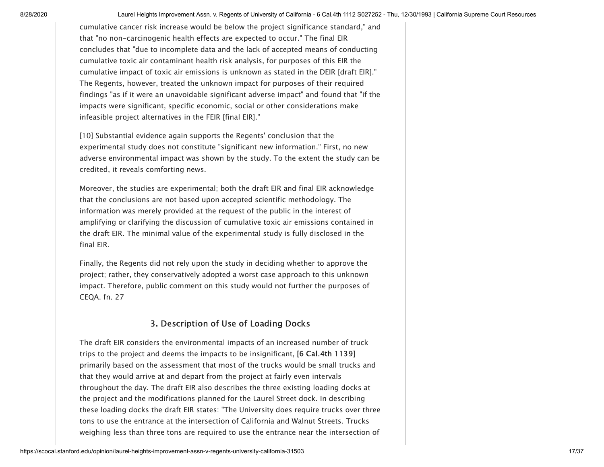cumulative cancer risk increase would be below the project significance standard," and that "no non-carcinogenic health effects are expected to occur." The final EIR concludes that "due to incomplete data and the lack of accepted means of conducting cumulative toxic air contaminant health risk analysis, for purposes of this EIR the cumulative impact of toxic air emissions is unknown as stated in the DEIR [draft EIR]." The Regents, however, treated the unknown impact for purposes of their required findings "as if it were an unavoidable significant adverse impact" and found that "if the impacts were significant, specific economic, social or other considerations make infeasible project alternatives in the FEIR [final EIR]."

[10] Substantial evidence again supports the Regents' conclusion that the experimental study does not constitute "significant new information." First, no new adverse environmental impact was shown by the study. To the extent the study can be credited, it reveals comforting news.

Moreover, the studies are experimental; both the draft EIR and final EIR acknowledge that the conclusions are not based upon accepted scientific methodology. The information was merely provided at the request of the public in the interest of amplifying or clarifying the discussion of cumulative toxic air emissions contained in the draft EIR. The minimal value of the experimental study is fully disclosed in the final EIR.

<span id="page-16-0"></span>Finally, the Regents did not rely upon the study in deciding whether to approve the project; rather, they conservatively adopted a worst case approach to this unknown impact. Therefore, public comment on this study would not further the purposes of CEQA. [fn. 27](#page-34-4)

# 3. Description of Use of Loading Docks

The draft EIR considers the environmental impacts of an increased number of truck trips to the project and deems the impacts to be insignificant, [6 Cal.4th 1139] primarily based on the assessment that most of the trucks would be small trucks and that they would arrive at and depart from the project at fairly even intervals throughout the day. The draft EIR also describes the three existing loading docks at the project and the modifications planned for the Laurel Street dock. In describing these loading docks the draft EIR states: "The University does require trucks over three tons to use the entrance at the intersection of California and Walnut Streets. Trucks weighing less than three tons are required to use the entrance near the intersection of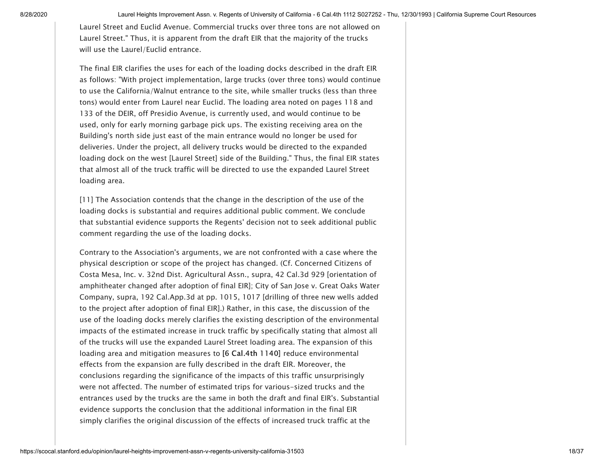Laurel Street and Euclid Avenue. Commercial trucks over three tons are not allowed on Laurel Street." Thus, it is apparent from the draft EIR that the majority of the trucks will use the Laurel/Euclid entrance.

The final EIR clarifies the uses for each of the loading docks described in the draft EIR as follows: "With project implementation, large trucks (over three tons) would continue to use the California/Walnut entrance to the site, while smaller trucks (less than three tons) would enter from Laurel near Euclid. The loading area noted on pages 118 and 133 of the DEIR, off Presidio Avenue, is currently used, and would continue to be used, only for early morning garbage pick ups. The existing receiving area on the Building's north side just east of the main entrance would no longer be used for deliveries. Under the project, all delivery trucks would be directed to the expanded loading dock on the west [Laurel Street] side of the Building." Thus, the final EIR states that almost all of the truck traffic will be directed to use the expanded Laurel Street loading area.

[11] The Association contends that the change in the description of the use of the loading docks is substantial and requires additional public comment. We conclude that substantial evidence supports the Regents' decision not to seek additional public comment regarding the use of the loading docks.

Contrary to the Association's arguments, we are not confronted with a case where the physical description or scope of the project has changed. (Cf. Concerned Citizens of Costa Mesa, Inc. v. 32nd Dist. Agricultural Assn., supra, [42 Cal.3d 929](https://scocal.stanford.edu/opinion/concerned-citizens-costa-mesa-inc-v-32nd-dist-agricultural-assn-28521) [orientation of amphitheater changed after adoption of final EIR]; City of San Jose v. Great Oaks Water Company, supra, 192 Cal.App.3d at pp. 1015, 1017 [drilling of three new wells added to the project after adoption of final EIR].) Rather, in this case, the discussion of the use of the loading docks merely clarifies the existing description of the environmental impacts of the estimated increase in truck traffic by specifically stating that almost all of the trucks will use the expanded Laurel Street loading area. The expansion of this loading area and mitigation measures to [6 Cal.4th 1140] reduce environmental effects from the expansion are fully described in the draft EIR. Moreover, the conclusions regarding the significance of the impacts of this traffic unsurprisingly were not affected. The number of estimated trips for various-sized trucks and the entrances used by the trucks are the same in both the draft and final EIR's. Substantial evidence supports the conclusion that the additional information in the final EIR simply clarifies the original discussion of the effects of increased truck traffic at the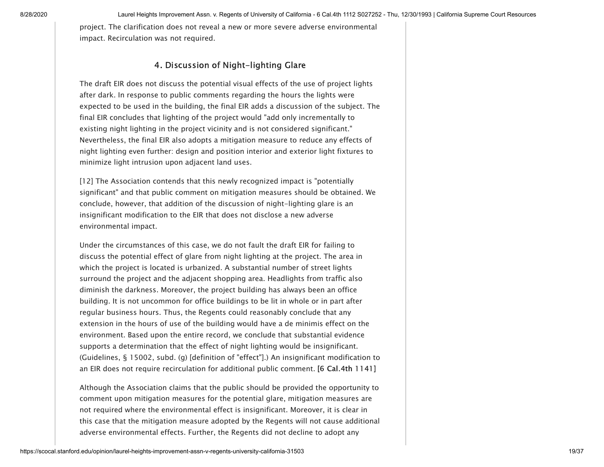project. The clarification does not reveal a new or more severe adverse environmental impact. Recirculation was not required.

# 4. Discussion of Night-lighting Glare

The draft EIR does not discuss the potential visual effects of the use of project lights after dark. In response to public comments regarding the hours the lights were expected to be used in the building, the final EIR adds a discussion of the subject. The final EIR concludes that lighting of the project would "add only incrementally to existing night lighting in the project vicinity and is not considered significant." Nevertheless, the final EIR also adopts a mitigation measure to reduce any effects of night lighting even further: design and position interior and exterior light fixtures to minimize light intrusion upon adjacent land uses.

[12] The Association contends that this newly recognized impact is "potentially significant" and that public comment on mitigation measures should be obtained. We conclude, however, that addition of the discussion of night-lighting glare is an insignificant modification to the EIR that does not disclose a new adverse environmental impact.

Under the circumstances of this case, we do not fault the draft EIR for failing to discuss the potential effect of glare from night lighting at the project. The area in which the project is located is urbanized. A substantial number of street lights surround the project and the adjacent shopping area. Headlights from traffic also diminish the darkness. Moreover, the project building has always been an office building. It is not uncommon for office buildings to be lit in whole or in part after regular business hours. Thus, the Regents could reasonably conclude that any extension in the hours of use of the building would have a de minimis effect on the environment. Based upon the entire record, we conclude that substantial evidence supports a determination that the effect of night lighting would be insignificant. (Guidelines, § 15002, subd. (g) [definition of "effect"].) An insignificant modification to an EIR does not require recirculation for additional public comment. [6 Cal.4th 1141]

Although the Association claims that the public should be provided the opportunity to comment upon mitigation measures for the potential glare, mitigation measures are not required where the environmental effect is insignificant. Moreover, it is clear in this case that the mitigation measure adopted by the Regents will not cause additional adverse environmental effects. Further, the Regents did not decline to adopt any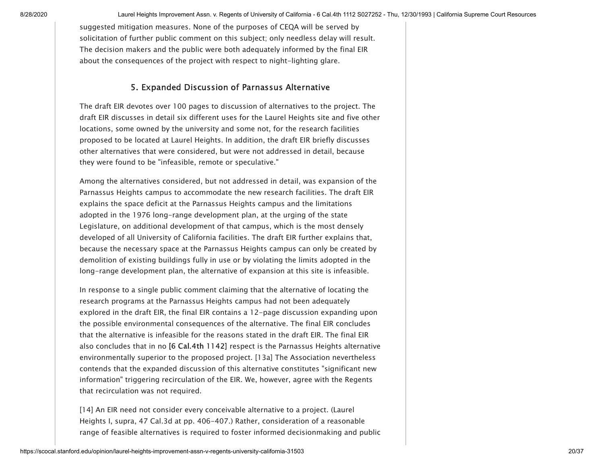suggested mitigation measures. None of the purposes of CEQA will be served by solicitation of further public comment on this subject; only needless delay will result. The decision makers and the public were both adequately informed by the final EIR about the consequences of the project with respect to night-lighting glare.

# 5. Expanded Discussion of Parnassus Alternative

The draft EIR devotes over 100 pages to discussion of alternatives to the project. The draft EIR discusses in detail six different uses for the Laurel Heights site and five other locations, some owned by the university and some not, for the research facilities proposed to be located at Laurel Heights. In addition, the draft EIR briefly discusses other alternatives that were considered, but were not addressed in detail, because they were found to be "infeasible, remote or speculative."

Among the alternatives considered, but not addressed in detail, was expansion of the Parnassus Heights campus to accommodate the new research facilities. The draft EIR explains the space deficit at the Parnassus Heights campus and the limitations adopted in the 1976 long-range development plan, at the urging of the state Legislature, on additional development of that campus, which is the most densely developed of all University of California facilities. The draft EIR further explains that, because the necessary space at the Parnassus Heights campus can only be created by demolition of existing buildings fully in use or by violating the limits adopted in the long-range development plan, the alternative of expansion at this site is infeasible.

In response to a single public comment claiming that the alternative of locating the research programs at the Parnassus Heights campus had not been adequately explored in the draft EIR, the final EIR contains a 12-page discussion expanding upon the possible environmental consequences of the alternative. The final EIR concludes that the alternative is infeasible for the reasons stated in the draft EIR. The final EIR also concludes that in no [6 Cal.4th 1142] respect is the Parnassus Heights alternative environmentally superior to the proposed project. [13a] The Association nevertheless contends that the expanded discussion of this alternative constitutes "significant new information" triggering recirculation of the EIR. We, however, agree with the Regents that recirculation was not required.

[14] An EIR need not consider every conceivable alternative to a project. (Laurel Heights I, supra, 47 Cal.3d at pp. 406-407.) Rather, consideration of a reasonable range of feasible alternatives is required to foster informed decisionmaking and public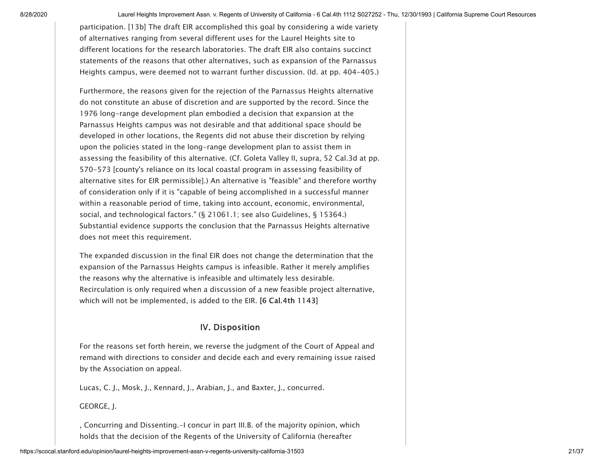participation. [13b] The draft EIR accomplished this goal by considering a wide variety of alternatives ranging from several different uses for the Laurel Heights site to different locations for the research laboratories. The draft EIR also contains succinct statements of the reasons that other alternatives, such as expansion of the Parnassus Heights campus, were deemed not to warrant further discussion. (Id. at pp. 404-405.)

Furthermore, the reasons given for the rejection of the Parnassus Heights alternative do not constitute an abuse of discretion and are supported by the record. Since the 1976 long-range development plan embodied a decision that expansion at the Parnassus Heights campus was not desirable and that additional space should be developed in other locations, the Regents did not abuse their discretion by relying upon the policies stated in the long-range development plan to assist them in assessing the feasibility of this alternative. (Cf. Goleta Valley II, supra, 52 Cal.3d at pp. 570-573 [county's reliance on its local coastal program in assessing feasibility of alternative sites for EIR permissible].) An alternative is "feasible" and therefore worthy of consideration only if it is "capable of being accomplished in a successful manner within a reasonable period of time, taking into account, economic, environmental, social, and technological factors." (§ 21061.1; see also Guidelines, § 15364.) Substantial evidence supports the conclusion that the Parnassus Heights alternative does not meet this requirement.

The expanded discussion in the final EIR does not change the determination that the expansion of the Parnassus Heights campus is infeasible. Rather it merely amplifies the reasons why the alternative is infeasible and ultimately less desirable. Recirculation is only required when a discussion of a new feasible project alternative, which will not be implemented, is added to the EIR. [6 Cal.4th 1143]

#### IV. Disposition

For the reasons set forth herein, we reverse the judgment of the Court of Appeal and remand with directions to consider and decide each and every remaining issue raised by the Association on appeal.

Lucas, C. J., Mosk, J., Kennard, J., Arabian, J., and Baxter, J., concurred.

#### GEORGE, J.

, Concurring and Dissenting.-I concur in part III.B. of the majority opinion, which holds that the decision of the Regents of the University of California (hereafter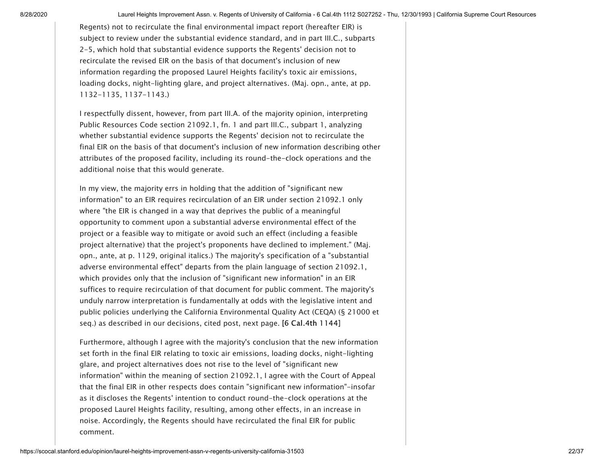Regents) not to recirculate the final environmental impact report (hereafter EIR) is subject to review under the substantial evidence standard, and in part III.C., subparts 2-5, which hold that substantial evidence supports the Regents' decision not to recirculate the revised EIR on the basis of that document's inclusion of new information regarding the proposed Laurel Heights facility's toxic air emissions, loading docks, night-lighting glare, and project alternatives. (Maj. opn., ante, at pp. 1132-1135, 1137-1143.)

<span id="page-21-0"></span>I respectfully dissent, however, from part III.A. of the majority opinion, interpreting Public Resources Code section 21092.1, [fn. 1](#page-35-0) and part III.C., subpart 1, analyzing whether substantial evidence supports the Regents' decision not to recirculate the final EIR on the basis of that document's inclusion of new information describing other attributes of the proposed facility, including its round-the-clock operations and the additional noise that this would generate.

In my view, the majority errs in holding that the addition of "significant new information" to an EIR requires recirculation of an EIR under section 21092.1 only where "the EIR is changed in a way that deprives the public of a meaningful opportunity to comment upon a substantial adverse environmental effect of the project or a feasible way to mitigate or avoid such an effect (including a feasible project alternative) that the project's proponents have declined to implement." (Maj. opn., ante, at p. 1129, original italics.) The majority's specification of a "substantial adverse environmental effect" departs from the plain language of section 21092.1, which provides only that the inclusion of "significant new information" in an EIR suffices to require recirculation of that document for public comment. The majority's unduly narrow interpretation is fundamentally at odds with the legislative intent and public policies underlying the California Environmental Quality Act (CEQA) (§ 21000 et seq.) as described in our decisions, cited post, next page. [6 Cal.4th 1144]

Furthermore, although I agree with the majority's conclusion that the new information set forth in the final EIR relating to toxic air emissions, loading docks, night-lighting glare, and project alternatives does not rise to the level of "significant new information" within the meaning of section 21092.1, I agree with the Court of Appeal that the final EIR in other respects does contain "significant new information"-insofar as it discloses the Regents' intention to conduct round-the-clock operations at the proposed Laurel Heights facility, resulting, among other effects, in an increase in noise. Accordingly, the Regents should have recirculated the final EIR for public comment.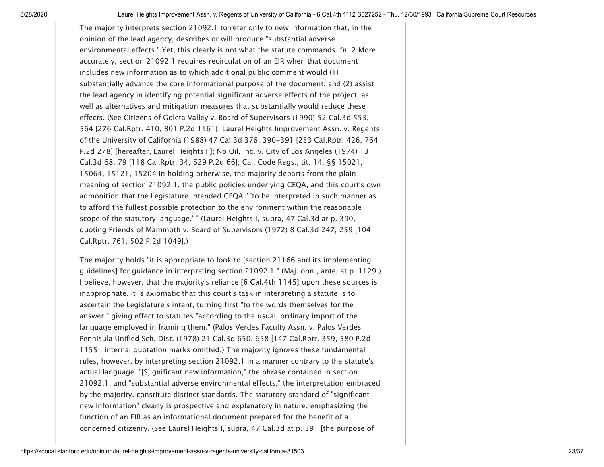<span id="page-22-0"></span>The majority interprets section 21092.1 to refer only to new information that, in the opinion of the lead agency, describes or will produce "substantial adverse environmental effects." Yet, this clearly is not what the statute commands. [fn. 2](#page-35-1) More accurately, section 21092.1 requires recirculation of an EIR when that document includes new information as to which additional public comment would (1) substantially advance the core informational purpose of the document, and (2) assist the lead agency in identifying potential significant adverse effects of the project, as well as alternatives and mitigation measures that substantially would reduce these effects. (See Citizens of Goleta Valley v. Board of Supervisors (1990) 52 Cal.3d 553, 564 [276 Cal.Rptr. 410, 801 P.2d 1161]; Laurel Heights Improvement Assn. v. Regents of the University of California (1988) [47 Cal.3d 376](https://scocal.stanford.edu/opinion/laurel-heights-improvement-assn-v-regents-university-california-30851), 390-391 [253 Cal.Rptr. 426, 764 P.2d 278] [hereafter, Laurel Heights I ]; No Oil, Inc. v. City of Los Angeles (1974) 13 Cal.3d 68, 79 [118 Cal.Rptr. 34, 529 P.2d 66]; Cal. Code Regs., tit. 14, §§ 15021, 15064, 15121, 15204 In holding otherwise, the majority departs from the plain meaning of section 21092.1, the public policies underlying CEQA, and this court's own admonition that the Legislature intended CEQA " 'to be interpreted in such manner as to afford the fullest possible protection to the environment within the reasonable scope of the statutory language.' " (Laurel Heights I, supra, 47 Cal.3d at p. 390, quoting Friends of Mammoth v. Board of Supervisors (1972) [8 Cal.3d 247,](https://scocal.stanford.edu/opinion/friends-mammoth-v-board-supervisors-32943) 259 [104 Cal.Rptr. 761, 502 P.2d 1049].)

The majority holds "it is appropriate to look to [section 21166 and its implementing guidelines] for guidance in interpreting section 21092.1." (Maj. opn., ante, at p. 1129.) I believe, however, that the majority's reliance [6 Cal.4th 1145] upon these sources is inappropriate. It is axiomatic that this court's task in interpreting a statute is to ascertain the Legislature's intent, turning first "to the words themselves for the answer," giving effect to statutes "according to the usual, ordinary import of the language employed in framing them." (Palos Verdes Faculty Assn. v. Palos Verdes Pennisula Unified Sch. Dist. (1978) [21 Cal.3d 650,](https://scocal.stanford.edu/opinion/palos-verdes-faculty-assn-v-palos-verdes-peninsula-unified-sch-dist-28086) 658 [147 Cal.Rptr. 359, 580 P.2d 1155], internal quotation marks omitted.) The majority ignores these fundamental rules, however, by interpreting section 21092.1 in a manner contrary to the statute's actual language. "[S]ignificant new information," the phrase contained in section 21092.1, and "substantial adverse environmental effects," the interpretation embraced by the majority, constitute distinct standards. The statutory standard of "significant new information" clearly is prospective and explanatory in nature, emphasizing the function of an EIR as an informational document prepared for the benefit of a concerned citizenry. (See Laurel Heights I, supra, 47 Cal.3d at p. 391 [the purpose of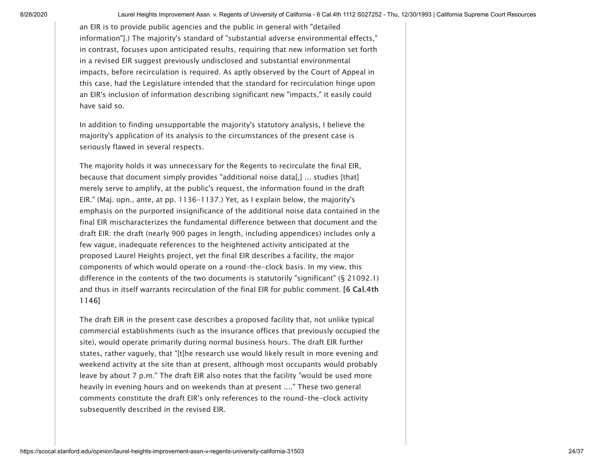an EIR is to provide public agencies and the public in general with "detailed information"].) The majority's standard of "substantial adverse environmental effects," in contrast, focuses upon anticipated results, requiring that new information set forth in a revised EIR suggest previously undisclosed and substantial environmental impacts, before recirculation is required. As aptly observed by the Court of Appeal in this case, had the Legislature intended that the standard for recirculation hinge upon an EIR's inclusion of information describing significant new "impacts," it easily could have said so.

In addition to finding unsupportable the majority's statutory analysis, I believe the majority's application of its analysis to the circumstances of the present case is seriously flawed in several respects.

The majority holds it was unnecessary for the Regents to recirculate the final EIR, because that document simply provides "additional noise data[,] ... studies [that] merely serve to amplify, at the public's request, the information found in the draft EIR." (Maj. opn., ante, at pp. 1136-1137.) Yet, as I explain below, the majority's emphasis on the purported insignificance of the additional noise data contained in the final EIR mischaracterizes the fundamental difference between that document and the draft EIR: the draft (nearly 900 pages in length, including appendices) includes only a few vague, inadequate references to the heightened activity anticipated at the proposed Laurel Heights project, yet the final EIR describes a facility, the major components of which would operate on a round-the-clock basis. In my view, this difference in the contents of the two documents is statutorily "significant" (§ 21092.1) and thus in itself warrants recirculation of the final EIR for public comment. [6 Cal.4th 1146]

The draft EIR in the present case describes a proposed facility that, not unlike typical commercial establishments (such as the insurance offices that previously occupied the site), would operate primarily during normal business hours. The draft EIR further states, rather vaguely, that "[t]he research use would likely result in more evening and weekend activity at the site than at present, although most occupants would probably leave by about 7 p.m." The draft EIR also notes that the facility "would be used more heavily in evening hours and on weekends than at present ...." These two general comments constitute the draft EIR's only references to the round-the-clock activity subsequently described in the revised EIR.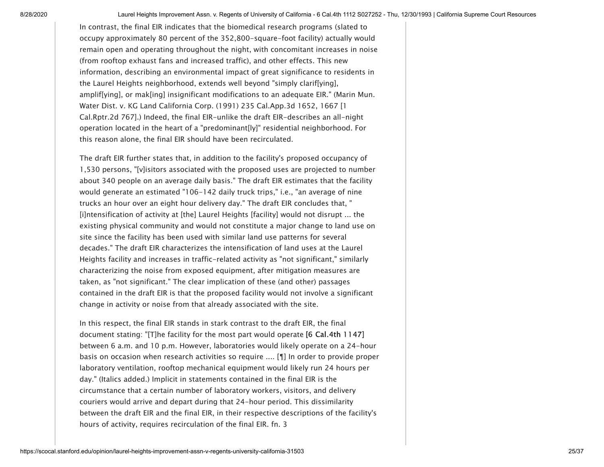In contrast, the final EIR indicates that the biomedical research programs (slated to occupy approximately 80 percent of the 352,800-square-foot facility) actually would remain open and operating throughout the night, with concomitant increases in noise (from rooftop exhaust fans and increased traffic), and other effects. This new information, describing an environmental impact of great significance to residents in the Laurel Heights neighborhood, extends well beyond "simply clarif[ying], amplif[ying], or mak[ing] insignificant modifications to an adequate EIR." (Marin Mun. Water Dist. v. KG Land California Corp. (1991) 235 Cal.App.3d 1652, 1667 [1 Cal.Rptr.2d 767].) Indeed, the final EIR-unlike the draft EIR-describes an all-night operation located in the heart of a "predominant[ly]" residential neighborhood. For this reason alone, the final EIR should have been recirculated.

The draft EIR further states that, in addition to the facility's proposed occupancy of 1,530 persons, "[v]isitors associated with the proposed uses are projected to number about 340 people on an average daily basis." The draft EIR estimates that the facility would generate an estimated "106-142 daily truck trips," i.e., "an average of nine trucks an hour over an eight hour delivery day." The draft EIR concludes that, " [i]ntensification of activity at [the] Laurel Heights [facility] would not disrupt ... the existing physical community and would not constitute a major change to land use on site since the facility has been used with similar land use patterns for several decades." The draft EIR characterizes the intensification of land uses at the Laurel Heights facility and increases in traffic-related activity as "not significant," similarly characterizing the noise from exposed equipment, after mitigation measures are taken, as "not significant." The clear implication of these (and other) passages contained in the draft EIR is that the proposed facility would not involve a significant change in activity or noise from that already associated with the site.

<span id="page-24-0"></span>In this respect, the final EIR stands in stark contrast to the draft EIR, the final document stating: "[T]he facility for the most part would operate [6 Cal.4th 1147] between 6 a.m. and 10 p.m. However, laboratories would likely operate on a 24-hour basis on occasion when research activities so require .... [¶] In order to provide proper laboratory ventilation, rooftop mechanical equipment would likely run 24 hours per day." (Italics added.) Implicit in statements contained in the final EIR is the circumstance that a certain number of laboratory workers, visitors, and delivery couriers would arrive and depart during that 24-hour period. This dissimilarity between the draft EIR and the final EIR, in their respective descriptions of the facility's hours of activity, requires recirculation of the final EIR. [fn. 3](#page-35-2)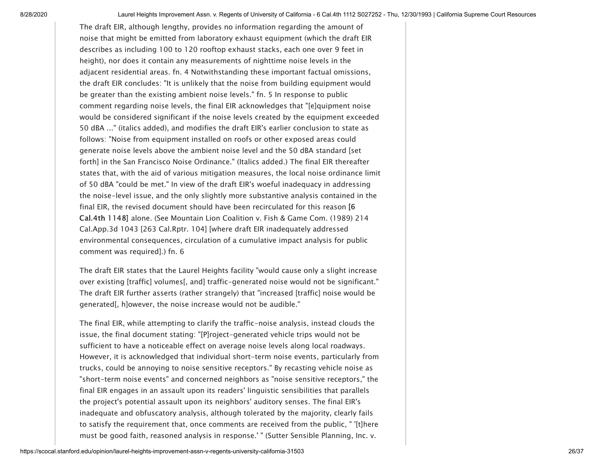<span id="page-25-1"></span><span id="page-25-0"></span>The draft EIR, although lengthy, provides no information regarding the amount of noise that might be emitted from laboratory exhaust equipment (which the draft EIR describes as including 100 to 120 rooftop exhaust stacks, each one over 9 feet in height), nor does it contain any measurements of nighttime noise levels in the adjacent residential areas. [fn. 4](#page-35-3) Notwithstanding these important factual omissions, the draft EIR concludes: "It is unlikely that the noise from building equipment would be greater than the existing ambient noise levels." [fn. 5](#page-35-4) In response to public comment regarding noise levels, the final EIR acknowledges that "[e]quipment noise would be considered significant if the noise levels created by the equipment exceeded 50 dBA ..." (italics added), and modifies the draft EIR's earlier conclusion to state as follows: "Noise from equipment installed on roofs or other exposed areas could generate noise levels above the ambient noise level and the 50 dBA standard [set forth] in the San Francisco Noise Ordinance." (Italics added.) The final EIR thereafter states that, with the aid of various mitigation measures, the local noise ordinance limit of 50 dBA "could be met." In view of the draft EIR's woeful inadequacy in addressing the noise-level issue, and the only slightly more substantive analysis contained in the final EIR, the revised document should have been recirculated for this reason [6 Cal.4th 1148] alone. (See Mountain Lion Coalition v. Fish & Game Com. (1989) 214 Cal.App.3d 1043 [263 Cal.Rptr. 104] [where draft EIR inadequately addressed environmental consequences, circulation of a cumulative impact analysis for public comment was required].) [fn. 6](#page-35-5)

<span id="page-25-2"></span>The draft EIR states that the Laurel Heights facility "would cause only a slight increase over existing [traffic] volumes[, and] traffic-generated noise would not be significant." The draft EIR further asserts (rather strangely) that "increased [traffic] noise would be generated[, h]owever, the noise increase would not be audible."

The final EIR, while attempting to clarify the traffic-noise analysis, instead clouds the issue, the final document stating: "[P]roject-generated vehicle trips would not be sufficient to have a noticeable effect on average noise levels along local roadways. However, it is acknowledged that individual short-term noise events, particularly from trucks, could be annoying to noise sensitive receptors." By recasting vehicle noise as "short-term noise events" and concerned neighbors as "noise sensitive receptors," the final EIR engages in an assault upon its readers' linguistic sensibilities that parallels the project's potential assault upon its neighbors' auditory senses. The final EIR's inadequate and obfuscatory analysis, although tolerated by the majority, clearly fails to satisfy the requirement that, once comments are received from the public, " '[t]here must be good faith, reasoned analysis in response.' " (Sutter Sensible Planning, Inc. v.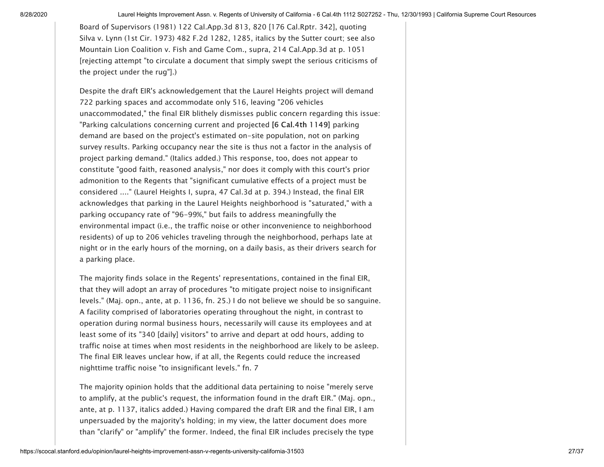Board of Supervisors (1981) 122 Cal.App.3d 813, 820 [176 Cal.Rptr. 342], quoting Silva v. Lynn (1st Cir. 1973) [482 F.2d 1282](https://cases.justia.com/us-court-of-appeals/F2/482/1282/), 1285, italics by the Sutter court; see also Mountain Lion Coalition v. Fish and Game Com., supra, 214 Cal.App.3d at p. 1051 [rejecting attempt "to circulate a document that simply swept the serious criticisms of the project under the rug"].)

Despite the draft EIR's acknowledgement that the Laurel Heights project will demand 722 parking spaces and accommodate only 516, leaving "206 vehicles unaccommodated," the final EIR blithely dismisses public concern regarding this issue: "Parking calculations concerning current and projected [6 Cal.4th 1149] parking demand are based on the project's estimated on-site population, not on parking survey results. Parking occupancy near the site is thus not a factor in the analysis of project parking demand." (Italics added.) This response, too, does not appear to constitute "good faith, reasoned analysis," nor does it comply with this court's prior admonition to the Regents that "significant cumulative effects of a project must be considered ...." (Laurel Heights I, supra, 47 Cal.3d at p. 394.) Instead, the final EIR acknowledges that parking in the Laurel Heights neighborhood is "saturated," with a parking occupancy rate of "96-99%," but fails to address meaningfully the environmental impact (i.e., the traffic noise or other inconvenience to neighborhood residents) of up to 206 vehicles traveling through the neighborhood, perhaps late at night or in the early hours of the morning, on a daily basis, as their drivers search for a parking place.

The majority finds solace in the Regents' representations, contained in the final EIR, that they will adopt an array of procedures "to mitigate project noise to insignificant levels." (Maj. opn., ante, at p. 1136, fn. 25.) I do not believe we should be so sanguine. A facility comprised of laboratories operating throughout the night, in contrast to operation during normal business hours, necessarily will cause its employees and at least some of its "340 [daily] visitors" to arrive and depart at odd hours, adding to traffic noise at times when most residents in the neighborhood are likely to be asleep. The final EIR leaves unclear how, if at all, the Regents could reduce the increased nighttime traffic noise "to insignificant levels." [fn. 7](#page-36-0)

<span id="page-26-0"></span>The majority opinion holds that the additional data pertaining to noise "merely serve to amplify, at the public's request, the information found in the draft EIR." (Maj. opn., ante, at p. 1137, italics added.) Having compared the draft EIR and the final EIR, I am unpersuaded by the majority's holding; in my view, the latter document does more than "clarify" or "amplify" the former. Indeed, the final EIR includes precisely the type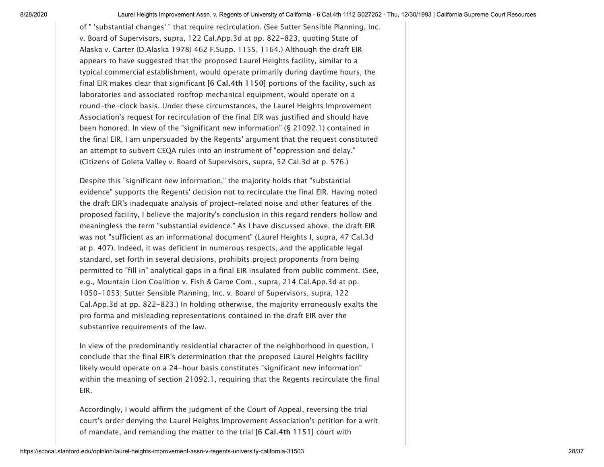of " 'substantial changes' " that require recirculation. (See Sutter Sensible Planning, Inc. v. Board of Supervisors, supra, 122 Cal.App.3d at pp. 822-823, quoting State of Alaska v. Carter (D.Alaska 1978) 462 F.Supp. 1155, 1164.) Although the draft EIR appears to have suggested that the proposed Laurel Heights facility, similar to a typical commercial establishment, would operate primarily during daytime hours, the final EIR makes clear that significant [6 Cal.4th 1150] portions of the facility, such as laboratories and associated rooftop mechanical equipment, would operate on a round-the-clock basis. Under these circumstances, the Laurel Heights Improvement Association's request for recirculation of the final EIR was justified and should have been honored. In view of the "significant new information" (§ 21092.1) contained in the final EIR, I am unpersuaded by the Regents' argument that the request constituted an attempt to subvert CEQA rules into an instrument of "oppression and delay." (Citizens of Goleta Valley v. Board of Supervisors, supra, 52 Cal.3d at p. 576.)

Despite this "significant new information," the majority holds that "substantial evidence" supports the Regents' decision not to recirculate the final EIR. Having noted the draft EIR's inadequate analysis of project-related noise and other features of the proposed facility, I believe the majority's conclusion in this regard renders hollow and meaningless the term "substantial evidence." As I have discussed above, the draft EIR was not "sufficient as an informational document" (Laurel Heights I, supra, 47 Cal.3d at p. 407). Indeed, it was deficient in numerous respects, and the applicable legal standard, set forth in several decisions, prohibits project proponents from being permitted to "fill in" analytical gaps in a final EIR insulated from public comment. (See, e.g., Mountain Lion Coalition v. Fish & Game Com., supra, 214 Cal.App.3d at pp. 1050-1053; Sutter Sensible Planning, Inc. v. Board of Supervisors, supra, 122 Cal.App.3d at pp. 822-823.) In holding otherwise, the majority erroneously exalts the pro forma and misleading representations contained in the draft EIR over the substantive requirements of the law.

In view of the predominantly residential character of the neighborhood in question, I conclude that the final EIR's determination that the proposed Laurel Heights facility likely would operate on a 24-hour basis constitutes "significant new information" within the meaning of section 21092.1, requiring that the Regents recirculate the final EIR.

Accordingly, I would affirm the judgment of the Court of Appeal, reversing the trial court's order denying the Laurel Heights Improvement Association's petition for a writ of mandate, and remanding the matter to the trial [6 Cal.4th 1151] court with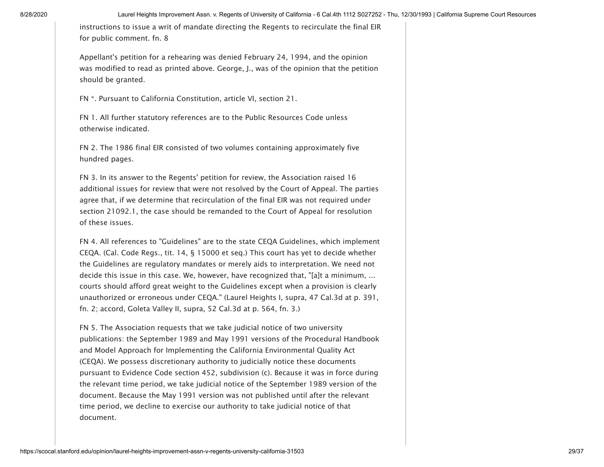<span id="page-28-6"></span>instructions to issue a writ of mandate directing the Regents to recirculate the final EIR for public comment. [fn. 8](#page-36-1)

Appellant's petition for a rehearing was denied February 24, 1994, and the opinion was modified to read as printed above. George, J., was of the opinion that the petition should be granted.

<span id="page-28-0"></span>[FN \\*.](#page-0-1) Pursuant to California Constitution, article VI, section 21.

<span id="page-28-1"></span>[FN 1.](#page-1-0) All further statutory references are to the Public Resources Code unless otherwise indicated.

<span id="page-28-2"></span>[FN 2.](#page-3-0) The 1986 final EIR consisted of two volumes containing approximately five hundred pages.

<span id="page-28-3"></span>[FN 3.](#page-4-0) In its answer to the Regents' petition for review, the Association raised 16 additional issues for review that were not resolved by the Court of Appeal. The parties agree that, if we determine that recirculation of the final EIR was not required under section 21092.1, the case should be remanded to the Court of Appeal for resolution of these issues.

<span id="page-28-4"></span>[FN 4.](#page-4-1) All references to "Guidelines" are to the state CEQA Guidelines, which implement CEQA. (Cal. Code Regs., tit. 14, § 15000 et seq.) This court has yet to decide whether the Guidelines are regulatory mandates or merely aids to interpretation. We need not decide this issue in this case. We, however, have recognized that, "[a]t a minimum, ... courts should afford great weight to the Guidelines except when a provision is clearly unauthorized or erroneous under CEQA." (Laurel Heights I, supra, 47 Cal.3d at p. 391, fn. 2; accord, Goleta Valley II, supra, 52 Cal.3d at p. 564, fn. 3.)

<span id="page-28-5"></span>[FN 5.](#page-5-0) The Association requests that we take judicial notice of two university publications: the September 1989 and May 1991 versions of the Procedural Handbook and Model Approach for Implementing the California Environmental Quality Act (CEQA). We possess discretionary authority to judicially notice these documents pursuant to Evidence Code section 452, subdivision (c). Because it was in force during the relevant time period, we take judicial notice of the September 1989 version of the document. Because the May 1991 version was not published until after the relevant time period, we decline to exercise our authority to take judicial notice of that document.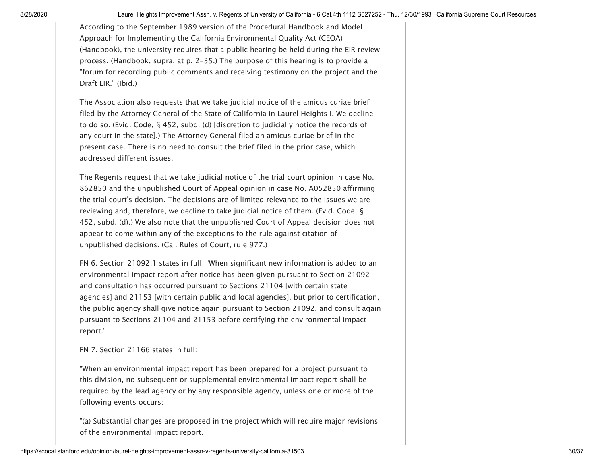According to the September 1989 version of the Procedural Handbook and Model Approach for Implementing the California Environmental Quality Act (CEQA) (Handbook), the university requires that a public hearing be held during the EIR review process. (Handbook, supra, at p. 2-35.) The purpose of this hearing is to provide a "forum for recording public comments and receiving testimony on the project and the Draft EIR." (Ibid.)

The Association also requests that we take judicial notice of the amicus curiae brief filed by the Attorney General of the State of California in Laurel Heights I. We decline to do so. (Evid. Code, § 452, subd. (d) [discretion to judicially notice the records of any court in the state].) The Attorney General filed an amicus curiae brief in the present case. There is no need to consult the brief filed in the prior case, which addressed different issues.

The Regents request that we take judicial notice of the trial court opinion in case No. 862850 and the unpublished Court of Appeal opinion in case No. A052850 affirming the trial court's decision. The decisions are of limited relevance to the issues we are reviewing and, therefore, we decline to take judicial notice of them. (Evid. Code, § 452, subd. (d).) We also note that the unpublished Court of Appeal decision does not appear to come within any of the exceptions to the rule against citation of unpublished decisions. (Cal. Rules of Court, rule 977.)

<span id="page-29-0"></span>[FN 6.](#page-6-0) Section 21092.1 states in full: "When significant new information is added to an environmental impact report after notice has been given pursuant to Section 21092 and consultation has occurred pursuant to Sections 21104 [with certain state agencies] and 21153 [with certain public and local agencies], but prior to certification, the public agency shall give notice again pursuant to Section 21092, and consult again pursuant to Sections 21104 and 21153 before certifying the environmental impact report."

<span id="page-29-1"></span>[FN 7.](#page-6-1) Section 21166 states in full:

"When an environmental impact report has been prepared for a project pursuant to this division, no subsequent or supplemental environmental impact report shall be required by the lead agency or by any responsible agency, unless one or more of the following events occurs:

"(a) Substantial changes are proposed in the project which will require major revisions of the environmental impact report.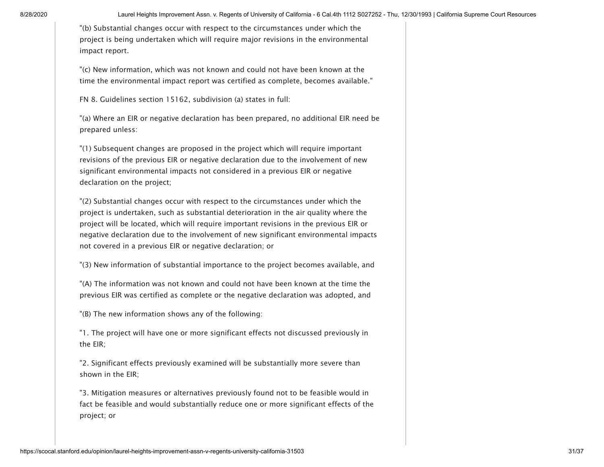"(b) Substantial changes occur with respect to the circumstances under which the project is being undertaken which will require major revisions in the environmental impact report.

"(c) New information, which was not known and could not have been known at the time the environmental impact report was certified as complete, becomes available."

<span id="page-30-0"></span>[FN 8.](#page-6-2) Guidelines section 15162, subdivision (a) states in full:

"(a) Where an EIR or negative declaration has been prepared, no additional EIR need be prepared unless:

"(1) Subsequent changes are proposed in the project which will require important revisions of the previous EIR or negative declaration due to the involvement of new significant environmental impacts not considered in a previous EIR or negative declaration on the project;

"(2) Substantial changes occur with respect to the circumstances under which the project is undertaken, such as substantial deterioration in the air quality where the project will be located, which will require important revisions in the previous EIR or negative declaration due to the involvement of new significant environmental impacts not covered in a previous EIR or negative declaration; or

"(3) New information of substantial importance to the project becomes available, and

"(A) The information was not known and could not have been known at the time the previous EIR was certified as complete or the negative declaration was adopted, and

"(B) The new information shows any of the following:

"1. The project will have one or more significant effects not discussed previously in the EIR;

"2. Significant effects previously examined will be substantially more severe than shown in the EIR;

"3. Mitigation measures or alternatives previously found not to be feasible would in fact be feasible and would substantially reduce one or more significant effects of the project; or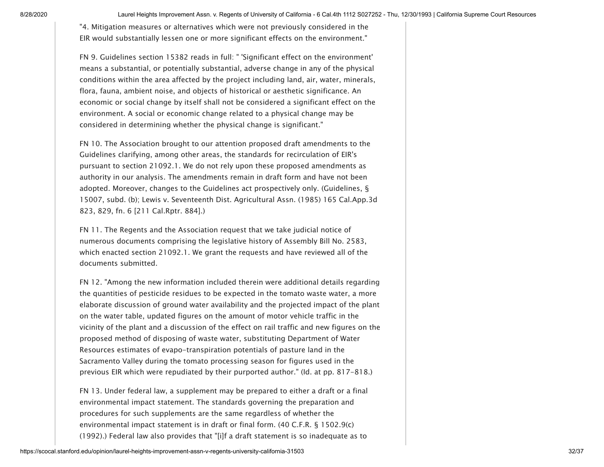"4. Mitigation measures or alternatives which were not previously considered in the EIR would substantially lessen one or more significant effects on the environment."

<span id="page-31-0"></span>[FN 9.](#page-6-3) Guidelines section 15382 reads in full: " 'Significant effect on the environment' means a substantial, or potentially substantial, adverse change in any of the physical conditions within the area affected by the project including land, air, water, minerals, flora, fauna, ambient noise, and objects of historical or aesthetic significance. An economic or social change by itself shall not be considered a significant effect on the environment. A social or economic change related to a physical change may be considered in determining whether the physical change is significant."

<span id="page-31-1"></span>[FN 10.](#page-6-4) The Association brought to our attention proposed draft amendments to the Guidelines clarifying, among other areas, the standards for recirculation of EIR's pursuant to section 21092.1. We do not rely upon these proposed amendments as authority in our analysis. The amendments remain in draft form and have not been adopted. Moreover, changes to the Guidelines act prospectively only. (Guidelines, § 15007, subd. (b); Lewis v. Seventeenth Dist. Agricultural Assn. (1985) 165 Cal.App.3d 823, 829, fn. 6 [211 Cal.Rptr. 884].)

<span id="page-31-2"></span>[FN 11.](#page-7-0) The Regents and the Association request that we take judicial notice of numerous documents comprising the legislative history of Assembly Bill No. 2583, which enacted section 21092.1. We grant the requests and have reviewed all of the documents submitted.

<span id="page-31-3"></span>[FN 12.](#page-7-1) "Among the new information included therein were additional details regarding the quantities of pesticide residues to be expected in the tomato waste water, a more elaborate discussion of ground water availability and the projected impact of the plant on the water table, updated figures on the amount of motor vehicle traffic in the vicinity of the plant and a discussion of the effect on rail traffic and new figures on the proposed method of disposing of waste water, substituting Department of Water Resources estimates of evapo-transpiration potentials of pasture land in the Sacramento Valley during the tomato processing season for figures used in the previous EIR which were repudiated by their purported author." (Id. at pp. 817-818.)

<span id="page-31-4"></span>[FN 13.](#page-8-0) Under federal law, a supplement may be prepared to either a draft or a final environmental impact statement. The standards governing the preparation and procedures for such supplements are the same regardless of whether the environmental impact statement is in draft or final form. (40 C.F.R. § 1502.9(c) (1992).) Federal law also provides that "[i]f a draft statement is so inadequate as to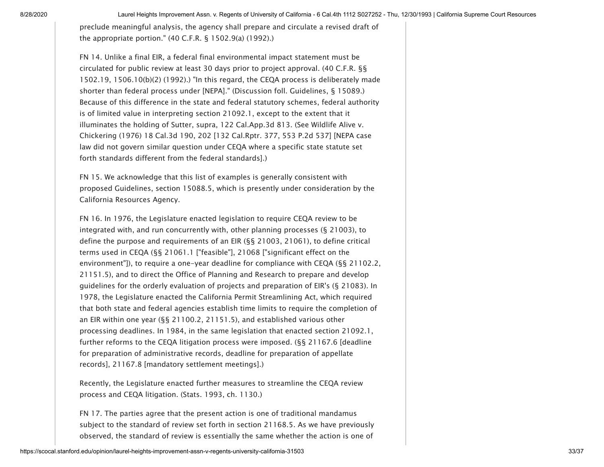preclude meaningful analysis, the agency shall prepare and circulate a revised draft of the appropriate portion." (40 C.F.R. § 1502.9(a) (1992).)

<span id="page-32-0"></span>[FN 14.](#page-8-1) Unlike a final EIR, a federal final environmental impact statement must be circulated for public review at least 30 days prior to project approval. (40 C.F.R. §§ 1502.19, 1506.10(b)(2) (1992).) "In this regard, the CEQA process is deliberately made shorter than federal process under [NEPA]." (Discussion foll. Guidelines, § 15089.) Because of this difference in the state and federal statutory schemes, federal authority is of limited value in interpreting section 21092.1, except to the extent that it illuminates the holding of Sutter, supra, 122 Cal.App.3d 813. (See Wildlife Alive v. Chickering (1976) [18 Cal.3d 190](https://scocal.stanford.edu/opinion/wildlife-alive-v-chickering-30399), 202 [132 Cal.Rptr. 377, 553 P.2d 537] [NEPA case law did not govern similar question under CEQA where a specific state statute set forth standards different from the federal standards].)

<span id="page-32-1"></span>[FN 15.](#page-9-0) We acknowledge that this list of examples is generally consistent with proposed Guidelines, section 15088.5, which is presently under consideration by the California Resources Agency.

<span id="page-32-2"></span>[FN 16.](#page-11-0) In 1976, the Legislature enacted legislation to require CEQA review to be integrated with, and run concurrently with, other planning processes (§ 21003), to define the purpose and requirements of an EIR (§§ 21003, 21061), to define critical terms used in CEQA (§§ 21061.1 ["feasible"], 21068 ["significant effect on the environment"]), to require a one-year deadline for compliance with CEQA (§§ 21102.2, 21151.5), and to direct the Office of Planning and Research to prepare and develop guidelines for the orderly evaluation of projects and preparation of EIR's (§ 21083). In 1978, the Legislature enacted the California Permit Streamlining Act, which required that both state and federal agencies establish time limits to require the completion of an EIR within one year (§§ 21100.2, 21151.5), and established various other processing deadlines. In 1984, in the same legislation that enacted section 21092.1, further reforms to the CEQA litigation process were imposed. (§§ 21167.6 [deadline for preparation of administrative records, deadline for preparation of appellate records], 21167.8 [mandatory settlement meetings].)

Recently, the Legislature enacted further measures to streamline the CEQA review process and CEQA litigation. (Stats. 1993, ch. 1130.)

<span id="page-32-3"></span>[FN 17.](#page-12-0) The parties agree that the present action is one of traditional mandamus subject to the standard of review set forth in section 21168.5. As we have previously observed, the standard of review is essentially the same whether the action is one of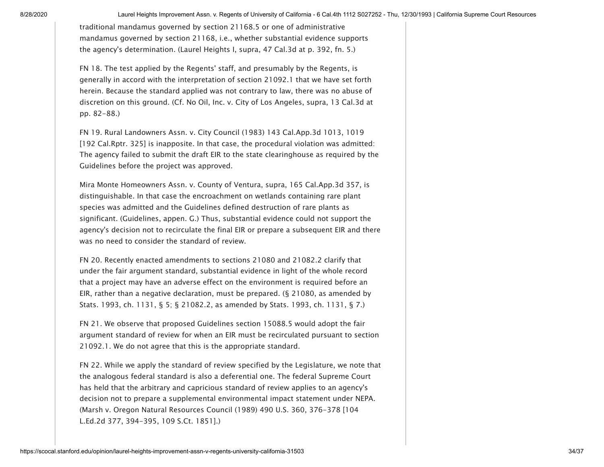traditional mandamus governed by section 21168.5 or one of administrative mandamus governed by section 21168, i.e., whether substantial evidence supports the agency's determination. (Laurel Heights I, supra, 47 Cal.3d at p. 392, fn. 5.)

<span id="page-33-0"></span>[FN 18.](#page-12-1) The test applied by the Regents' staff, and presumably by the Regents, is generally in accord with the interpretation of section 21092.1 that we have set forth herein. Because the standard applied was not contrary to law, there was no abuse of discretion on this ground. (Cf. No Oil, Inc. v. City of Los Angeles, supra, 13 Cal.3d at pp. 82-88.)

<span id="page-33-1"></span>[FN 19.](#page-13-0) Rural Landowners Assn. v. City Council (1983) 143 Cal.App.3d 1013, 1019 [192 Cal.Rptr. 325] is inapposite. In that case, the procedural violation was admitted: The agency failed to submit the draft EIR to the state clearinghouse as required by the Guidelines before the project was approved.

Mira Monte Homeowners Assn. v. County of Ventura, supra, 165 Cal.App.3d 357, is distinguishable. In that case the encroachment on wetlands containing rare plant species was admitted and the Guidelines defined destruction of rare plants as significant. (Guidelines, appen. G.) Thus, substantial evidence could not support the agency's decision not to recirculate the final EIR or prepare a subsequent EIR and there was no need to consider the standard of review.

<span id="page-33-2"></span>[FN 20.](#page-13-1) Recently enacted amendments to sections 21080 and 21082.2 clarify that under the fair argument standard, substantial evidence in light of the whole record that a project may have an adverse effect on the environment is required before an EIR, rather than a negative declaration, must be prepared. (§ 21080, as amended by Stats. 1993, ch. 1131, § 5; § 21082.2, as amended by Stats. 1993, ch. 1131, § 7.)

<span id="page-33-3"></span>[FN 21.](#page-14-0) We observe that proposed Guidelines section 15088.5 would adopt the fair argument standard of review for when an EIR must be recirculated pursuant to section 21092.1. We do not agree that this is the appropriate standard.

<span id="page-33-4"></span>[FN 22.](#page-14-1) While we apply the standard of review specified by the Legislature, we note that the analogous federal standard is also a deferential one. The federal Supreme Court has held that the arbitrary and capricious standard of review applies to an agency's decision not to prepare a supplemental environmental impact statement under NEPA. (Marsh v. Oregon Natural Resources Council (1989) [490 U.S. 360, 376](https://supreme.justia.com/us/490/360/case.html#376)-378 [104 L.Ed.2d 377, 394-395, 109 S.Ct. 1851].)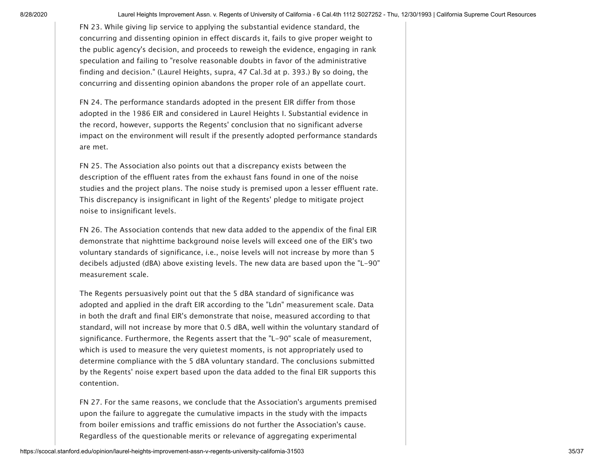<span id="page-34-0"></span>[FN 23.](#page-14-2) While giving lip service to applying the substantial evidence standard, the concurring and dissenting opinion in effect discards it, fails to give proper weight to the public agency's decision, and proceeds to reweigh the evidence, engaging in rank speculation and failing to "resolve reasonable doubts in favor of the administrative finding and decision." (Laurel Heights, supra, 47 Cal.3d at p. 393.) By so doing, the concurring and dissenting opinion abandons the proper role of an appellate court.

<span id="page-34-1"></span>[FN 24.](#page-14-3) The performance standards adopted in the present EIR differ from those adopted in the 1986 EIR and considered in Laurel Heights I. Substantial evidence in the record, however, supports the Regents' conclusion that no significant adverse impact on the environment will result if the presently adopted performance standards are met.

<span id="page-34-2"></span>[FN 25.](#page-15-0) The Association also points out that a discrepancy exists between the description of the effluent rates from the exhaust fans found in one of the noise studies and the project plans. The noise study is premised upon a lesser effluent rate. This discrepancy is insignificant in light of the Regents' pledge to mitigate project noise to insignificant levels.

<span id="page-34-3"></span>[FN 26.](#page-15-1) The Association contends that new data added to the appendix of the final EIR demonstrate that nighttime background noise levels will exceed one of the EIR's two voluntary standards of significance, i.e., noise levels will not increase by more than 5 decibels adjusted (dBA) above existing levels. The new data are based upon the "L-90" measurement scale.

The Regents persuasively point out that the 5 dBA standard of significance was adopted and applied in the draft EIR according to the "Ldn" measurement scale. Data in both the draft and final EIR's demonstrate that noise, measured according to that standard, will not increase by more that 0.5 dBA, well within the voluntary standard of significance. Furthermore, the Regents assert that the "L-90" scale of measurement, which is used to measure the very quietest moments, is not appropriately used to determine compliance with the 5 dBA voluntary standard. The conclusions submitted by the Regents' noise expert based upon the data added to the final EIR supports this contention.

<span id="page-34-4"></span>[FN 27.](#page-16-0) For the same reasons, we conclude that the Association's arguments premised upon the failure to aggregate the cumulative impacts in the study with the impacts from boiler emissions and traffic emissions do not further the Association's cause. Regardless of the questionable merits or relevance of aggregating experimental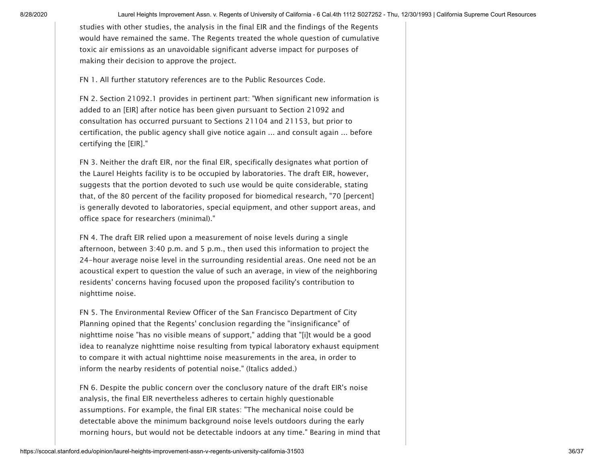studies with other studies, the analysis in the final EIR and the findings of the Regents would have remained the same. The Regents treated the whole question of cumulative toxic air emissions as an unavoidable significant adverse impact for purposes of making their decision to approve the project.

<span id="page-35-0"></span>[FN 1.](#page-21-0) All further statutory references are to the Public Resources Code.

<span id="page-35-1"></span>[FN 2.](#page-22-0) Section 21092.1 provides in pertinent part: "When significant new information is added to an [EIR] after notice has been given pursuant to Section 21092 and consultation has occurred pursuant to Sections 21104 and 21153, but prior to certification, the public agency shall give notice again ... and consult again ... before certifying the [EIR]."

<span id="page-35-2"></span>[FN 3.](#page-24-0) Neither the draft EIR, nor the final EIR, specifically designates what portion of the Laurel Heights facility is to be occupied by laboratories. The draft EIR, however, suggests that the portion devoted to such use would be quite considerable, stating that, of the 80 percent of the facility proposed for biomedical research, "70 [percent] is generally devoted to laboratories, special equipment, and other support areas, and office space for researchers (minimal)."

<span id="page-35-3"></span>[FN 4.](#page-25-0) The draft EIR relied upon a measurement of noise levels during a single afternoon, between 3:40 p.m. and 5 p.m., then used this information to project the 24-hour average noise level in the surrounding residential areas. One need not be an acoustical expert to question the value of such an average, in view of the neighboring residents' concerns having focused upon the proposed facility's contribution to nighttime noise.

<span id="page-35-4"></span>[FN 5.](#page-25-1) The Environmental Review Officer of the San Francisco Department of City Planning opined that the Regents' conclusion regarding the "insignificance" of nighttime noise "has no visible means of support," adding that "[i]t would be a good idea to reanalyze nighttime noise resulting from typical laboratory exhaust equipment to compare it with actual nighttime noise measurements in the area, in order to inform the nearby residents of potential noise." (Italics added.)

<span id="page-35-5"></span>[FN 6.](#page-25-2) Despite the public concern over the conclusory nature of the draft EIR's noise analysis, the final EIR nevertheless adheres to certain highly questionable assumptions. For example, the final EIR states: "The mechanical noise could be detectable above the minimum background noise levels outdoors during the early morning hours, but would not be detectable indoors at any time." Bearing in mind that